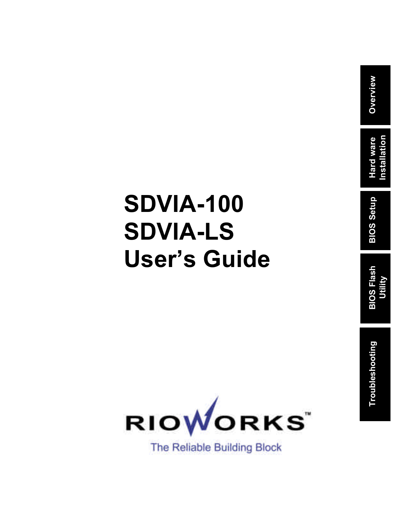## **SDVIA-100 SDVIA-LS User's Guide**

**Overview**

**Hard ware Installation**

**BIOS Setup**

**BIOS Flash Utility**

**Troubleshooting**

Troubleshooting

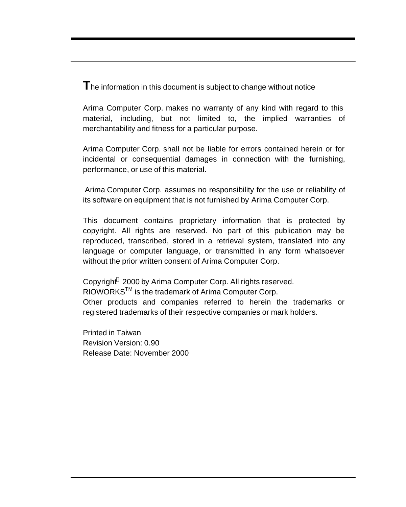The information in this document is subject to change without notice

Arima Computer Corp. makes no warranty of any kind with regard to this material, including, but not limited to, the implied warranties of merchantability and fitness for a particular purpose.

Arima Computer Corp. shall not be liable for errors contained herein or for incidental or consequential damages in connection with the furnishing, performance, or use of this material.

Arima Computer Corp. assumes no responsibility for the use or reliability of its software on equipment that is not furnished by Arima Computer Corp.

This document contains proprietary information that is protected by copyright. All rights are reserved. No part of this publication may be reproduced, transcribed, stored in a retrieval system, translated into any language or computer language, or transmitted in any form whatsoever without the prior written consent of Arima Computer Corp.

Copyright<sup>®</sup> 2000 by Arima Computer Corp. All rights reserved.  $RIOWORKS^{TM}$  is the trademark of Arima Computer Corp. Other products and companies referred to herein the trademarks or registered trademarks of their respective companies or mark holders.

Printed in Taiwan Revision Version: 0.90 Release Date: November 2000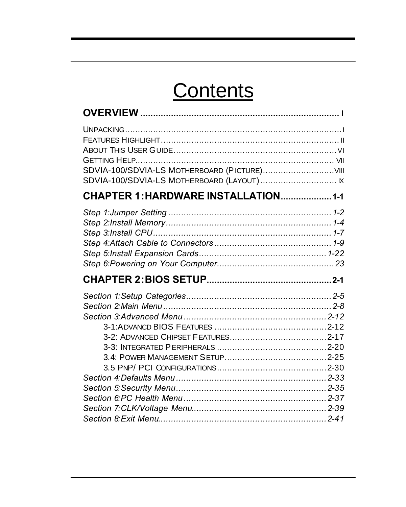## Contents

| SDVIA-100/SDVIA-LS MOTHERBOARD (LAYOUT) IX |  |
|--------------------------------------------|--|
| CHAPTER 1: HARDWARE INSTALLATION 1-1       |  |
|                                            |  |
|                                            |  |
|                                            |  |
|                                            |  |
|                                            |  |
|                                            |  |
|                                            |  |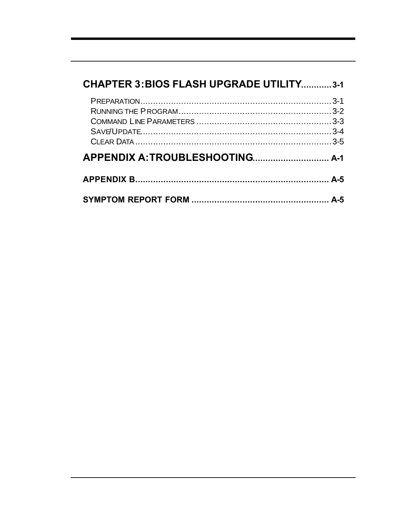| <b>CHAPTER 3: BIOS FLASH UPGRADE UTILITY3-1</b> |  |  |
|-------------------------------------------------|--|--|
|                                                 |  |  |
|                                                 |  |  |
|                                                 |  |  |
|                                                 |  |  |
|                                                 |  |  |
|                                                 |  |  |
|                                                 |  |  |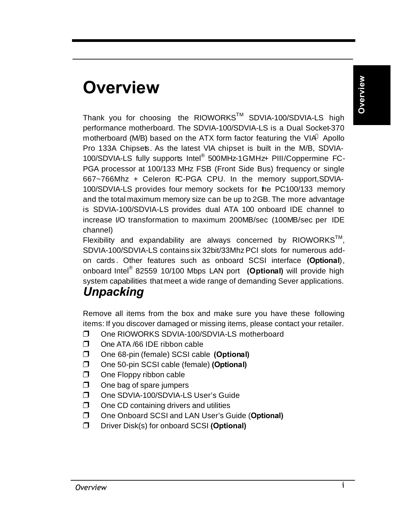## **Overview**

**Overview**

Thank you for choosing the RIOWORKS™ SDVIA-100/SDVIA-LS high performance motherboard. The SDVIA-100/SDVIA-LS is a Dual Socket-370 motherboard (M/B) based on the ATX form factor featuring the VIA® Apollo Pro 133A Chipsets. As the latest VIA chipset is built in the M/B, SDVIA-100/SDVIA-LS fully supports Intel® 500MHz-1GMHz+ PIII/Coppermine FC-PGA processor at 100/133 MHz FSB (Front Side Bus) frequency or single 667~766Mhz + Celeron FC-PGA CPU. In the memory support,SDVIA-100/SDVIA-LS provides four memory sockets for the PC100/133 memory and the total maximum memory size can be up to 2GB. The more advantage is SDVIA-100/SDVIA-LS provides dual ATA 100 onboard IDE channel to increase I/O transformation to maximum 200MB/sec (100MB/sec per IDE channel)

Flexibility and expandability are always concerned by RIOWORKS $^{TM}$ , SDVIA-100/SDVIA-LS contains six 32bit/33Mhz PCI slots for numerous addon cards . Other features such as onboard SCSI interface **(Optional**), onboard Intel® 82559 10/100 Mbps LAN port **(Optional)** will provide high system capabilities that meet a wide range of demanding Sever applications.

### *Unpacking*

Remove all items from the box and make sure you have these following items: If you discover damaged or missing items, please contact your retailer.

- **D** One RIOWORKS SDVIA-100/SDVIA-LS motherboard
- $\Box$  One ATA /66 IDE ribbon cable
- $\Box$  One 68-pin (female) SCSI cable **(Optional)**
- **D** One 50-pin SCSI cable (female) **(Optional)**
- $\Box$  One Floppy ribbon cable
- $\Box$  One bag of spare jumpers
- One SDVIA-100/SDVIA-LS User's Guide
- $\Box$  One CD containing drivers and utilities
- **D** One Onboard SCSI and LAN User's Guide (Optional)
- **D** Driver Disk(s) for onboard SCSI **(Optional)**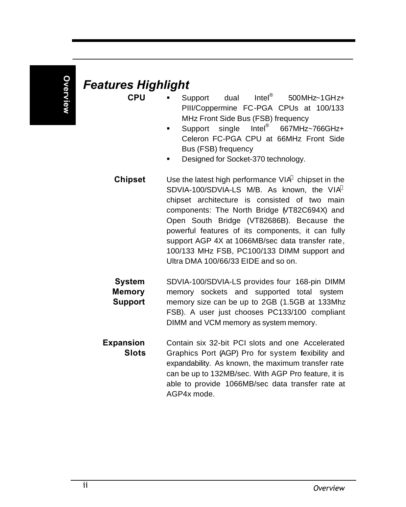## *Features Highlight*

- **CPU** Support dual Intel<sup>®</sup> 500MHz~1GHz+ PIII/Coppermine FC-PGA CPUs at 100/133 MHz Front Side Bus (FSB) frequency
	- Support single Intel<sup>®</sup> 667MHz~766GHz+ Celeron FC-PGA CPU at 66MHz Front Side Bus (FSB) frequency
	- ß Designed for Socket-370 technology.
- **Chipset** Use the latest high performance VIA<sup>®</sup> chipset in the SDVIA-100/SDVIA-LS M/B. As known, the VIA<sup>®</sup> chipset architecture is consisted of two main components: The North Bridge (VT82C694X) and Open South Bridge (VT82686B). Because the powerful features of its components, it can fully support AGP 4X at 1066MB/sec data transfer rate, 100/133 MHz FSB, PC100/133 DIMM support and Ultra DMA 100/66/33 EIDE and so on.
- **System Memory Support** SDVIA-100/SDVIA-LS provides four 168-pin DIMM memory sockets and supported total system memory size can be up to 2GB (1.5GB at 133Mhz FSB). A user just chooses PC133/100 compliant DIMM and VCM memory as system memory.
- **Expansion Slots** Contain six 32-bit PCI slots and one Accelerated Graphics Port (AGP) Pro for system flexibility and expandability. As known, the maximum transfer rate can be up to 132MB/sec. With AGP Pro feature, it is able to provide 1066MB/sec data transfer rate at AGP4x mode.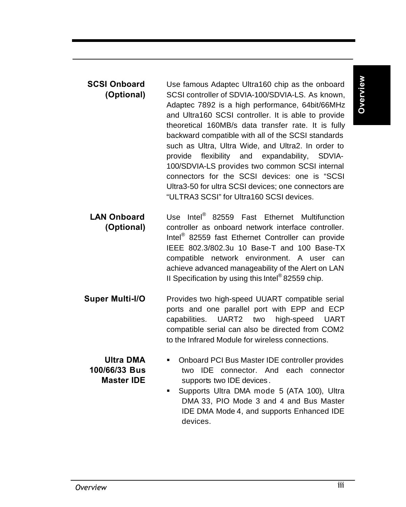# **Overview**

- **SCSI Onboard (Optional)** Use famous Adaptec Ultra160 chip as the onboard SCSI controller of SDVIA-100/SDVIA-LS. As known, Adaptec 7892 is a high performance, 64bit/66MHz and Ultra160 SCSI controller. It is able to provide theoretical 160MB/s data transfer rate. It is fully backward compatible with all of the SCSI standards such as Ultra, Ultra Wide, and Ultra2. In order to provide flexibility and expandability, SDVIA-100/SDVIA-LS provides two common SCSI internal connectors for the SCSI devices: one is "SCSI Ultra3-50 for ultra SCSI devices; one connectors are "ULTRA3 SCSI" for Ultra160 SCSI devices.
- **LAN Onboard (Optional)** Use Intel® 82559 Fast Ethernet Multifunction controller as onboard network interface controller. Intel® 82559 fast Ethernet Controller can provide IEEE 802.3/802.3u 10 Base-T and 100 Base-TX compatible network environment. A user can achieve advanced manageability of the Alert on LAN II Specification by using this Intel<sup>®</sup> 82559 chip.
- **Super Multi-I/O** Provides two high-speed UUART compatible serial ports and one parallel port with EPP and ECP capabilities. UART2 two high-speed UART compatible serial can also be directed from COM2 to the Infrared Module for wireless connections.

**Ultra DMA 100/66/33 Bus Master IDE**

- Onboard PCI Bus Master IDE controller provides two IDE connector. And each connector supports two IDE devices .
- **Supports Ultra DMA mode 5 (ATA 100), Ultra** DMA 33, PIO Mode 3 and 4 and Bus Master IDE DMA Mode 4, and supports Enhanced IDE devices.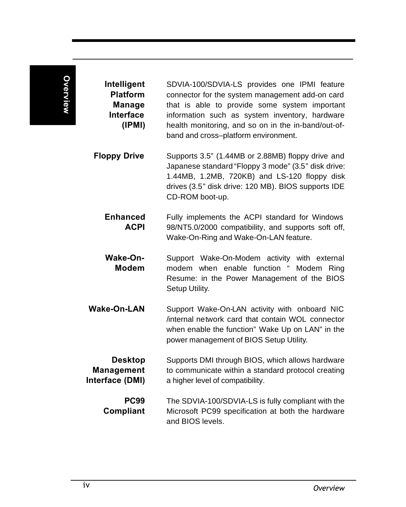| Intelligent<br><b>Platform</b><br><b>Manage</b><br><b>Interface</b><br>(IPMI) | SDVIA-100/SDVIA-LS provides one IPMI feature<br>connector for the system management add-on card<br>that is able to provide some system important<br>information such as system inventory, hardware<br>health monitoring, and so on in the in-band/out-of-<br>band and cross-platform environment. |
|-------------------------------------------------------------------------------|---------------------------------------------------------------------------------------------------------------------------------------------------------------------------------------------------------------------------------------------------------------------------------------------------|
| <b>Floppy Drive</b>                                                           | Supports 3.5" (1.44MB or 2.88MB) floppy drive and<br>Japanese standard "Floppy 3 mode" (3.5" disk drive:<br>1.44MB, 1.2MB, 720KB) and LS-120 floppy disk<br>drives (3.5" disk drive: 120 MB). BIOS supports IDE<br>CD-ROM boot-up.                                                                |
| <b>Enhanced</b><br><b>ACPI</b>                                                | Fully implements the ACPI standard for Windows<br>98/NT5.0/2000 compatibility, and supports soft off,<br>Wake-On-Ring and Wake-On-LAN feature.                                                                                                                                                    |
| Wake-On-<br><b>Modem</b>                                                      | Support Wake-On-Modem activity with external<br>modem when enable function " Modem Ring<br>Resume: in the Power Management of the BIOS<br>Setup Utility.                                                                                                                                          |
| <b>Wake-On-LAN</b>                                                            | Support Wake-On-LAN activity with onboard NIC<br>internal network card that contain WOL connector<br>when enable the function" Wake Up on LAN" in the<br>power management of BIOS Setup Utility.                                                                                                  |
| <b>Desktop</b><br><b>Management</b><br>Interface (DMI)                        | Supports DMI through BIOS, which allows hardware<br>to communicate within a standard protocol creating<br>a higher level of compatibility.                                                                                                                                                        |
| <b>PC99</b><br><b>Compliant</b>                                               | The SDVIA-100/SDVIA-LS is fully compliant with the<br>Microsoft PC99 specification at both the hardware<br>and BIOS levels.                                                                                                                                                                       |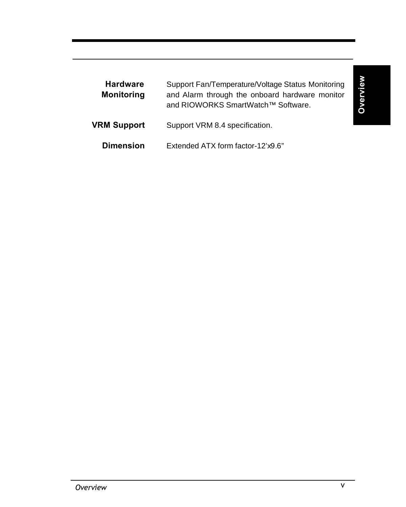| <b>Hardware</b><br><b>Monitoring</b> | Support Fan/Temperature/Voltage Status Monitoring<br>and Alarm through the onboard hardware monitor<br>and RIOWORKS SmartWatch™ Software. |
|--------------------------------------|-------------------------------------------------------------------------------------------------------------------------------------------|
| <b>VRM Support</b>                   | Support VRM 8.4 specification.                                                                                                            |
| <b>Dimension</b>                     | Extended ATX form factor-12'x9.6"                                                                                                         |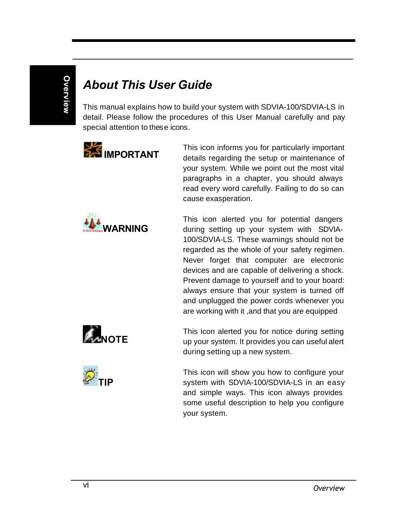## *About This User Guide*

This manual explains how to build your system with SDVIA-100/SDVIA-LS in detail. Please follow the procedures of this User Manual carefully and pay special attention to these icons.



**WARNING**

This icon informs you for particularly important details regarding the setup or maintenance of your system. While we point out the most vital paragraphs in a chapter, you should always read every word carefully. Failing to do so can cause exasperation.

This icon alerted you for potential dangers during setting up your system with SDVIA-100/SDVIA-LS. These warnings should not be regarded as the whole of your safety regimen. Never forget that computer are electronic devices and are capable of delivering a shock. Prevent damage to yourself and to your board: always ensure that your system is turned off and unplugged the power cords whenever you are working with it ,and that you are equipped





This icon alerted you for notice during setting up your system. It provides you can useful alert during setting up a new system.

This icon will show you how to configure your system with SDVIA-100/SDVIA-LS in an easy and simple ways. This icon always provides some useful description to help you configure your system.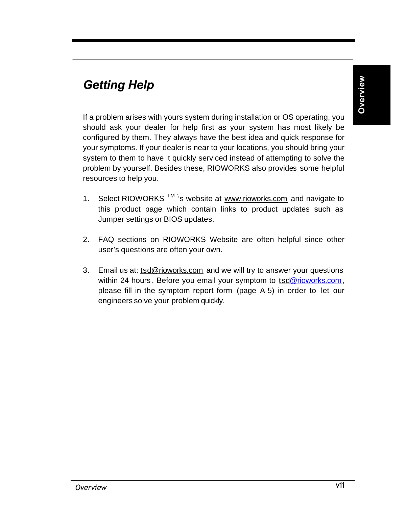## *Getting Help*

If a problem arises with yours system during installation or OS operating, you should ask your dealer for help first as your system has most likely be configured by them. They always have the best idea and quick response for your symptoms. If your dealer is near to your locations, you should bring your system to them to have it quickly serviced instead of attempting to solve the problem by yourself. Besides these, RIOWORKS also provides some helpful resources to help you.

- 1. Select RIOWORKS  $TM$ <sup>'</sup>'s website at <u>www.rioworks.com</u> and navigate to this product page which contain links to product updates such as Jumper settings or BIOS updates.
- 2. FAQ sections on RIOWORKS Website are often helpful since other user's questions are often your own.
- 3. Email us at: tsd@rioworks.com and we will try to answer your questions within 24 hours. Before you email your symptom to tsd@rioworks.com, please fill in the symptom report form (page A-5) in order to let our engineers solve your problem quickly.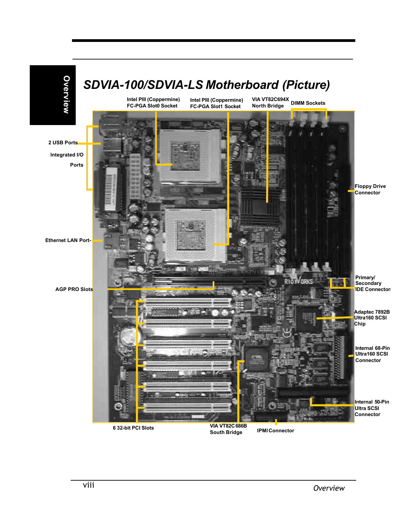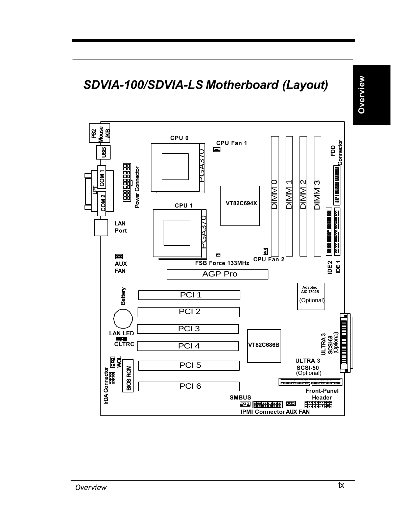

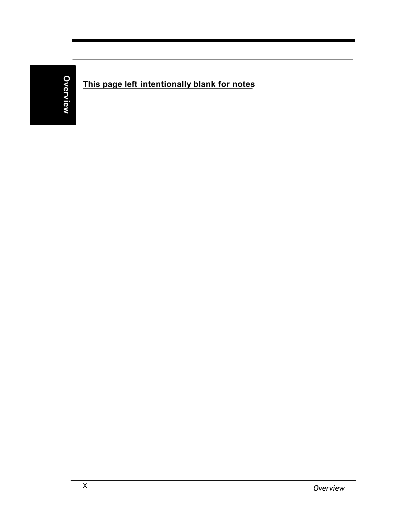### **This page left intentionally blank for notes**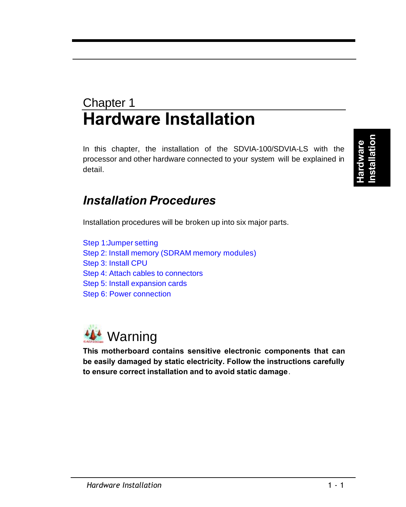## Chapter 1 **Hardware Installation**

In this chapter, the installation of the SDVIA-100/SDVIA-LS with the processor and other hardware connected to your system will be explained in detail.

**Hardware Installation**

### *Installation Procedures*

Installation procedures will be broken up into six major parts.

Step 1:Jumper setting Step 2: Install memory (SDRAM memory modules) Step 3: Install CPU Step 4: Attach cables to connectors Step 5: Install expansion cards Step 6: Power connection



**This motherboard contains sensitive electronic components that can be easily damaged by static electricity. Follow the instructions carefully to ensure correct installation and to avoid static damage**.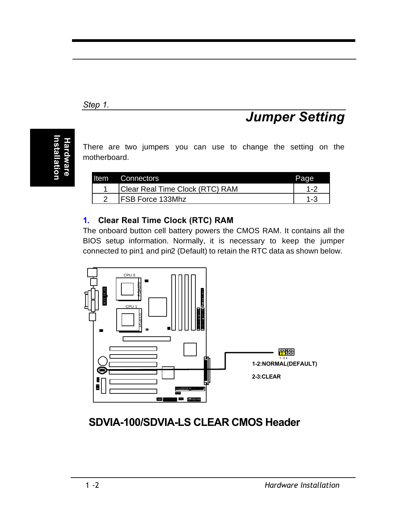#### *Step 1.*

## **Hardware Installation**

There are two jumpers you can use to change the setting on the motherboard.

| Item | Connectors                      | Page |
|------|---------------------------------|------|
|      | Clear Real Time Clock (RTC) RAM |      |
|      | FSB Force 133Mhz                |      |

#### **1. Clear Real Time Clock (RTC) RAM**

The onboard button cell battery powers the CMOS RAM. It contains all the BIOS setup information. Normally, it is necessary to keep the jumper connected to pin1 and pin2 (Default) to retain the RTC data as shown below.



**SDVIA-100/SDVIA-LS CLEAR CMOS Header**

*Jumper Setting*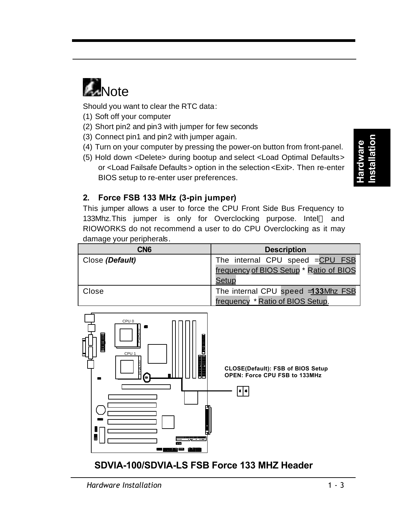

Should you want to clear the RTC data:

- (1) Soft off your computer
- (2) Short pin2 and pin3 with jumper for few seconds
- (3) Connect pin1 and pin2 with jumper again.
- (4) Turn on your computer by pressing the power-on button from front-panel.
- (5) Hold down <Delete> during bootup and select <Load Optimal Defaults> or <Load Failsafe Defaults > option in the selection <Exit>. Then re-enter BIOS setup to re-enter user preferences.

**Hardware Installation**

#### **2. Force FSB 133 MHz (3-pin jumper)**

This jumper allows a user to force the CPU Front Side Bus Frequency to 133Mhz. This jumper is only for Overclocking purpose. Intel<sup>®</sup> and RIOWORKS do not recommend a user to do CPU Overclocking as it may damage your peripherals.

| CN <sub>6</sub> | <b>Description</b>                                                      |  |
|-----------------|-------------------------------------------------------------------------|--|
| Close (Default) | The internal CPU speed =CPU FSB                                         |  |
|                 | frequency of BIOS Setup * Ratio of BIOS<br>Setup                        |  |
| Close           | The internal CPU speed = 133Mhz FSB<br>frequency * Ratio of BIOS Setup. |  |



#### $1 - 3$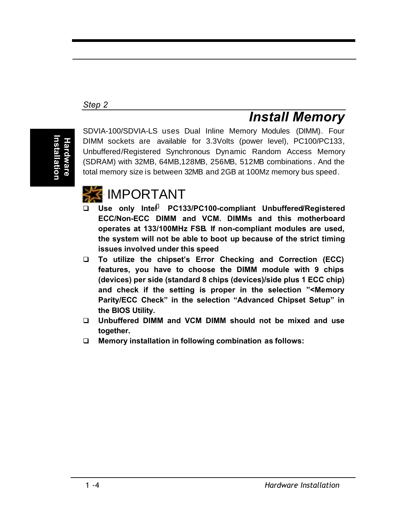#### *Step 2*

## **Installation** nstallatior **Hardware**

SDVIA-100/SDVIA-LS uses Dual Inline Memory Modules (DIMM). Four DIMM sockets are available for 3.3Volts (power level), PC100/PC133, Unbuffered/Registered Synchronous Dynamic Random Access Memory (SDRAM) with 32MB, 64MB,128MB, 256MB, 512MB combinations . And the total memory size is between 32MB and 2GB at 100Mz memory bus speed.



- q **Use only Intel<sup>â</sup> PC133/PC100-compliant Unbuffered/Registered ECC/Non-ECC DIMM and VCM. DIMMs and this motherboard operates at 133/100MHz FSB. If non-compliant modules are used, the system will not be able to boot up because of the strict timing issues involved under this speed**
- q **To utilize the chipset's Error Checking and Correction (ECC) features, you have to choose the DIMM module with 9 chips (devices) per side (standard 8 chips (devices)/side plus 1 ECC chip) and check if the setting is proper in the selection "<Memory Parity/ECC Check" in the selection "Advanced Chipset Setup" in the BIOS Utility.**
- q **Unbuffered DIMM and VCM DIMM should not be mixed and use together.**
- q **Memory installation in following combination as follows:**

*Install Memory*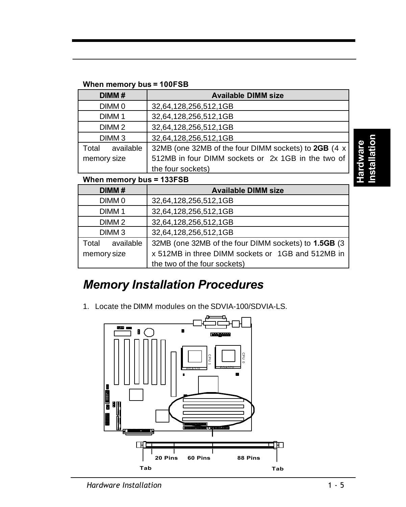#### **When memory bus = 100FSB**

| DIMM#              | <b>Available DIMM size</b>                           |
|--------------------|------------------------------------------------------|
| DIMM <sub>0</sub>  | 32,64,128,256,512,1GB                                |
| DIMM <sub>1</sub>  | 32,64,128,256,512,1GB                                |
| DIMM <sub>2</sub>  | 32,64,128,256,512,1GB                                |
| DIMM <sub>3</sub>  | 32,64,128,256,512,1GB                                |
| available<br>Total | 32MB (one 32MB of the four DIMM sockets) to 2GB (4 x |
| memory size        | 512MB in four DIMM sockets or 2x 1GB in the two of   |
|                    | the four sockets)                                    |

**Hardware Installation**

#### **When memory bus = 133FSB**

| DIMM#              | <b>Available DIMM size</b>                           |
|--------------------|------------------------------------------------------|
| DIMM <sub>0</sub>  | 32,64,128,256,512,1GB                                |
| DIMM <sub>1</sub>  | 32,64,128,256,512,1GB                                |
| DIMM <sub>2</sub>  | 32,64,128,256,512,1GB                                |
| DIMM <sub>3</sub>  | 32,64,128,256,512,1GB                                |
| available<br>Total | 32MB (one 32MB of the four DIMM sockets) to 1.5GB (3 |
| memory size        | x 512MB in three DIMM sockets or 1GB and 512MB in    |
|                    | the two of the four sockets)                         |

### *Memory Installation Procedures*

1. Locate the DIMM modules on the SDVIA-100/SDVIA-LS.

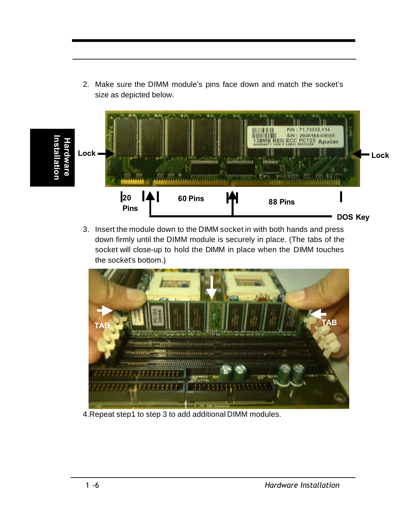71,73352.114<br>2000184-00048 Pitt. **Bitt Installation ECC PC133 Apacer Hardware nstallatio** Hardware **Lock Lock 20 60 Pins 88 Pins Pins DOS Key**

2. Make sure the DIMM module's pins face down and match the socket's

size as depicted below.

3. Insert the module down to the DIMM socket in with both hands and press down firmly until the DIMM module is securely in place. (The tabs of the socket will close-up to hold the DIMM in place when the DIMM touches the socket's bottom.)



4.Repeat step1 to step 3 to add additional DIMM modules.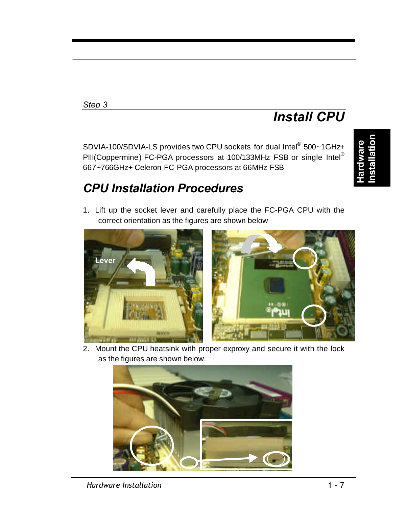#### *Step 3*

## *Install CPU*

SDVIA-100/SDVIA-LS provides two CPU sockets for dual Intel® 500~1GHz+ PIII(Coppermine) FC-PGA processors at 100/133MHz FSB or single Intel® 667~766GHz+ Celeron FC-PGA processors at 66MHz FSB

## *CPU Installation Procedures*

1. Lift up the socket lever and carefully place the FC-PGA CPU with the correct orientation as the figures are shown below



2. Mount the CPU heatsink with proper exproxy and secure it with the lock as the figures are shown below.

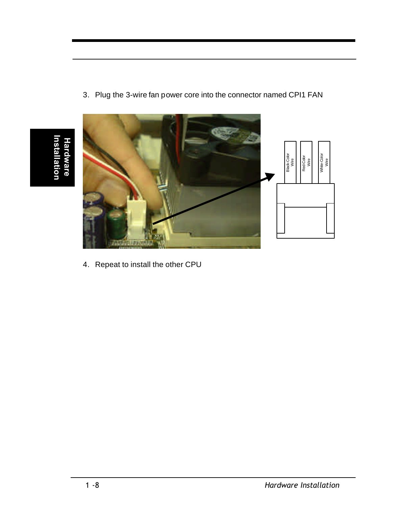

3. Plug the 3-wire fan power core into the connector named CPI1 FAN

4. Repeat to install the other CPU

**Installation**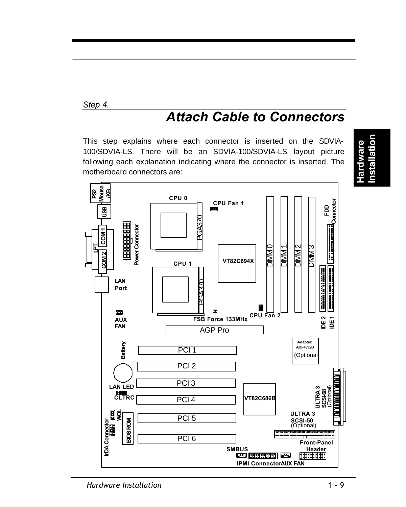#### *Step 4.*

## *Attach Cable to Connectors*

This step explains where each connector is inserted on the SDVIA-100/SDVIA-LS. There will be an SDVIA-100/SDVIA-LS layout picture following each explanation indicating where the connector is inserted. The motherboard connectors are:



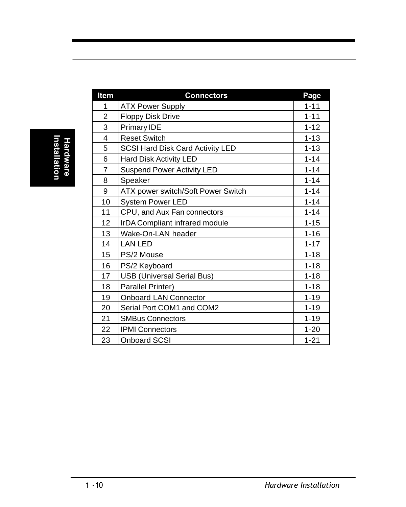| Item           | <b>Connectors</b>                  | Page     |
|----------------|------------------------------------|----------|
| 1              | <b>ATX Power Supply</b>            | $1 - 11$ |
| $\overline{c}$ | <b>Floppy Disk Drive</b>           | $1 - 11$ |
| 3              | <b>Primary IDE</b>                 | $1 - 12$ |
| 4              | <b>Reset Switch</b>                | $1 - 13$ |
| 5              | SCSI Hard Disk Card Activity LED   | $1 - 13$ |
| 6              | Hard Disk Activity LED             | $1 - 14$ |
| 7              | <b>Suspend Power Activity LED</b>  | $1 - 14$ |
| 8              | Speaker                            | $1 - 14$ |
| 9              | ATX power switch/Soft Power Switch | $1 - 14$ |
| 10             | <b>System Power LED</b>            | $1 - 14$ |
| 11             | CPU, and Aux Fan connectors        | $1 - 14$ |
| 12             | IrDA Compliant infrared module     | $1 - 15$ |
| 13             | Wake-On-LAN header                 | $1 - 16$ |
| 14             | <b>LAN LED</b>                     | $1 - 17$ |
| 15             | PS/2 Mouse                         | $1 - 18$ |
| 16             | PS/2 Keyboard                      | $1 - 18$ |
| 17             | <b>USB (Universal Serial Bus)</b>  | $1 - 18$ |
| 18             | Parallel Printer)                  | $1 - 18$ |
| 19             | Onboard LAN Connector              | $1 - 19$ |
| 20             | Serial Port COM1 and COM2          | $1 - 19$ |
| 21             | <b>SMBus Connectors</b>            | $1 - 19$ |
| 22             | <b>IPMI Connectors</b>             | $1 - 20$ |
| 23             | <b>Onboard SCSI</b>                | $1 - 21$ |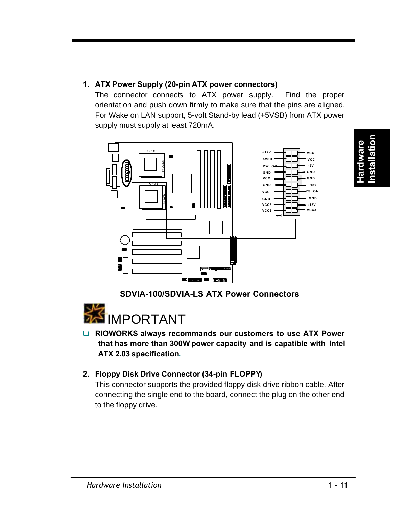

The connector connects to ATX power supply. Find the proper orientation and push down firmly to make sure that the pins are aligned. For Wake on LAN support, 5-volt Stand-by lead (+5VSB) from ATX power supply must supply at least 720mA.



**SDVIA-100/SDVIA-LS ATX Power Connectors**



**□ RIOWORKS always recommands our customers to use ATX Power that has more than 300W power capacity and is capatible with Intel ATX 2.03 specification.**

#### **2. Floppy Disk Drive Connector (34-pin FLOPPY)**

This connector supports the provided floppy disk drive ribbon cable. After connecting the single end to the board, connect the plug on the other end to the floppy drive.

**Hardware Installation**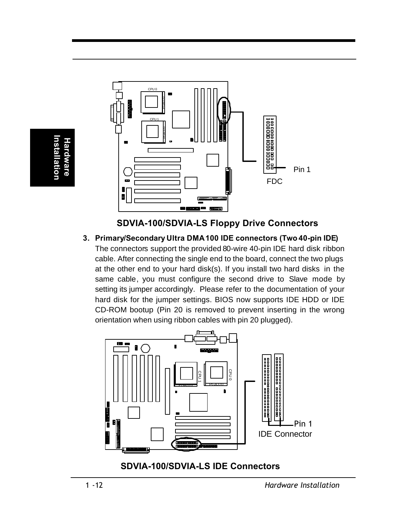



#### **3. Primary/Secondary Ultra DMA100 IDE connectors (Two 40-pin IDE)**

The connectors support the provided 80-wire 40-pin IDE hard disk ribbon cable. After connecting the single end to the board, connect the two plugs at the other end to your hard disk(s). If you install two hard disks in the same cable, you must configure the second drive to Slave mode by setting its jumper accordingly. Please refer to the documentation of your hard disk for the jumper settings. BIOS now supports IDE HDD or IDE CD-ROM bootup (Pin 20 is removed to prevent inserting in the wrong orientation when using ribbon cables with pin 20 plugged).



**Hardware Installation**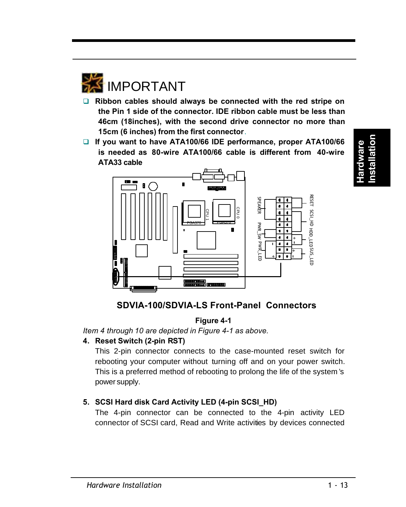*Hardware Installation* 

 $1 - 13$ 



- □ Ribbon cables should always be connected with the red stripe on **the Pin 1 side of the connector. IDE ribbon cable must be less than 46cm (18inches), with the second drive connector no more than 15cm (6 inches) from the first connector**.
- □ If you want to have ATA100/66 IDE performance, proper ATA100/66 **is needed as 80-wire ATA100/66 cable is different from 40-wire ATA33 cable**



## **Hardware Installation**

#### **Figure 4-1**

*Item 4 through 10 are depicted in Figure 4-1 as above.*

#### **4. Reset Switch (2-pin RST)**

This 2-pin connector connects to the case-mounted reset switch for rebooting your computer without turning off and on your power switch. This is a preferred method of rebooting to prolong the life of the system 's power supply.

#### **5. SCSI Hard disk Card Activity LED (4-pin SCSI\_HD)**

The 4-pin connector can be connected to the 4-pin activity LED connector of SCSI card, Read and Write activities by devices connected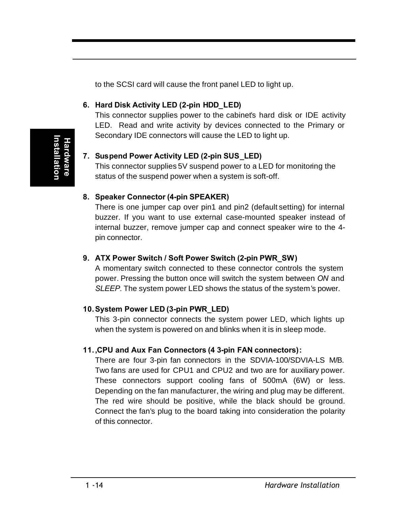to the SCSI card will cause the front panel LED to light up.

#### **6. Hard Disk Activity LED (2-pin HDD\_LED)**

This connector supplies power to the cabinet's hard disk or IDE activity LED. Read and write activity by devices connected to the Primary or Secondary IDE connectors will cause the LED to light up.

#### **7. Suspend Power Activity LED (2-pin SUS\_LED)**

This connector supplies 5V suspend power to a LED for monitoring the status of the suspend power when a system is soft-off.

#### **8. Speaker Connector (4-pin SPEAKER)**

There is one jumper cap over pin1 and pin2 (default setting) for internal buzzer. If you want to use external case-mounted speaker instead of internal buzzer, remove jumper cap and connect speaker wire to the 4 pin connector.

#### **9. ATX Power Switch / Soft Power Switch (2-pin PWR\_SW)**

A momentary switch connected to these connector controls the system power. Pressing the button once will switch the system between *ON* and *SLEEP.* The system power LED shows the status of the system's power.

#### **10.System Power LED (3-pin PWR\_LED)**

This 3-pin connector connects the system power LED, which lights up when the system is powered on and blinks when it is in sleep mode.

#### **11.,CPU and Aux Fan Connectors (4 3-pin FAN connectors):**

There are four 3-pin fan connectors in the SDVIA-100/SDVIA-LS M/B. Two fans are used for CPU1 and CPU2 and two are for auxiliary power. These connectors support cooling fans of 500mA (6W) or less. Depending on the fan manufacturer, the wiring and plug may be different. The red wire should be positive, while the black should be ground. Connect the fan's plug to the board taking into consideration the polarity of this connector.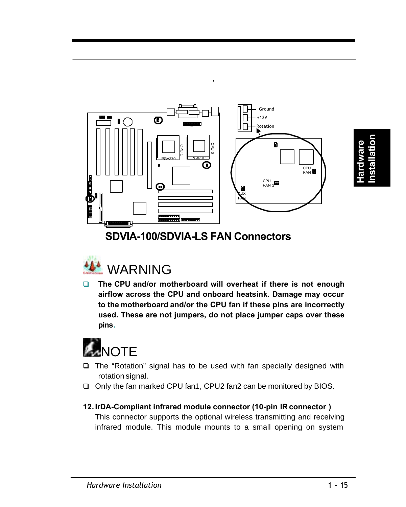

**Hardware Installation**



**□** The CPU and/or motherboard will overheat if there is not enough **airflow across the CPU and onboard heatsink. Damage may occur to the motherboard and/or the CPU fan if these pins are incorrectly used. These are not jumpers, do not place jumper caps over these pins.**



- $\Box$  The "Rotation" signal has to be used with fan specially designed with rotation signal.
- □ Only the fan marked CPU fan1, CPU2 fan2 can be monitored by BIOS.

#### **12.IrDA-Compliant infrared module connector (10-pin IR connector )**

This connector supports the optional wireless transmitting and receiving infrared module. This module mounts to a small opening on system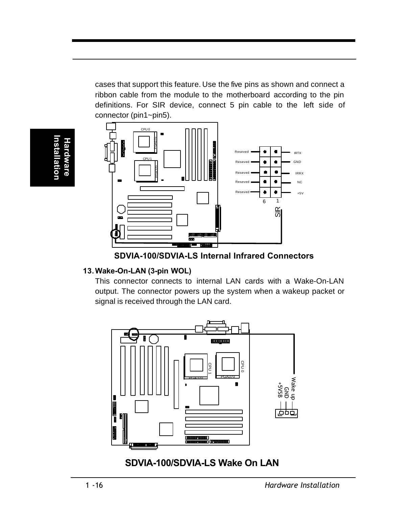cases that support this feature. Use the five pins as shown and connect a ribbon cable from the module to the motherboard according to the pin definitions. For SIR device, connect 5 pin cable to the left side of connector (pin1~pin5).







#### **13.Wake-On-LAN (3-pin WOL)**

This connector connects to internal LAN cards with a Wake-On-LAN output. The connector powers up the system when a wakeup packet or signal is received through the LAN card.



**SDVIA-100/SDVIA-LS Wake On LAN**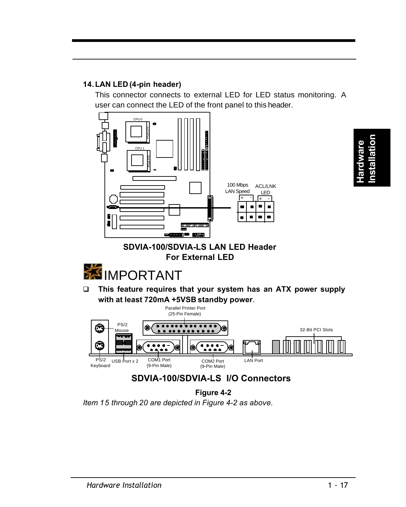#### **14.LAN LED (4-pin header)**

This connector connects to external LED for LED status monitoring. A user can connect the LED of the front panel to this header.



#### **SDVIA-100/SDVIA-LS LAN LED Header For External LED**



q **This feature requires that your system has an ATX power supply with at least 720mA +5VSB standby power.**



#### **SDVIA-100/SDVIA-LS I/O Connectors**

**Figure 4-2**

*Item 15 through 20 are depicted in Figure 4-2 as above.*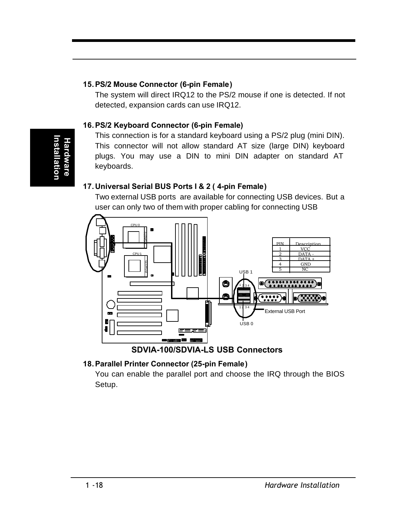#### **15.PS/2 Mouse Connector (6-pin Female)**

The system will direct IRQ12 to the PS/2 mouse if one is detected. If not detected, expansion cards can use IRQ12.

#### **16.PS/2 Keyboard Connector (6-pin Female)**

This connection is for a standard keyboard using a PS/2 plug (mini DIN). This connector will not allow standard AT size (large DIN) keyboard plugs. You may use a DIN to mini DIN adapter on standard AT keyboards.

#### **17.Universal Serial BUS Ports I & 2 ( 4-pin Female)**

Two external USB ports are available for connecting USB devices. But a user can only two of them with proper cabling for connecting USB



**SDVIA-100/SDVIA-LS USB Connectors**

#### **18.Parallel Printer Connector (25-pin Female)**

You can enable the parallel port and choose the IRQ through the BIOS Setup.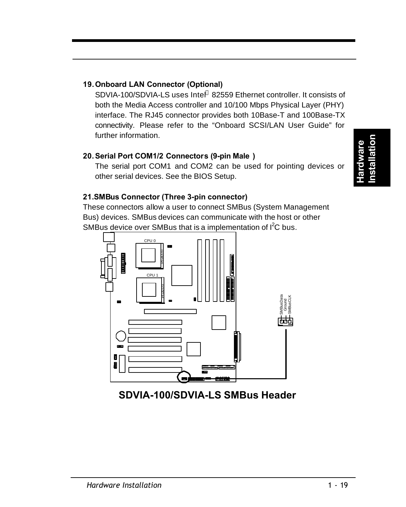#### **19.Onboard LAN Connector (Optional)**

SDVIA-100/SDVIA-LS uses Intel® 82559 Ethernet controller. It consists of both the Media Access controller and 10/100 Mbps Physical Layer (PHY) interface. The RJ45 connector provides both 10Base-T and 100Base-TX connectivity. Please refer to the "Onboard SCSI/LAN User Guide" for further information.

#### **20.Serial Port COM1/2 Connectors (9-pin Male )**

The serial port COM1 and COM2 can be used for pointing devices or other serial devices. See the BIOS Setup.

#### **21.SMBus Connector (Three 3-pin connector)**

These connectors allow a user to connect SMBus (System Management Bus) devices. SMBus devices can communicate with the host or other SMBus device over SMBus that is a implementation of  $I^2C$  bus.

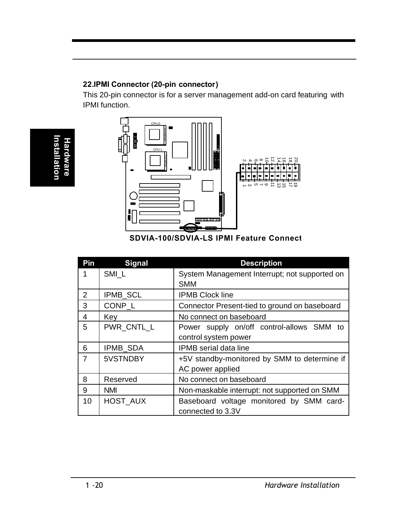#### **22.IPMI Connector (20-pin connector)**

This 20-pin connector is for a server management add-on card featuring with IPMI function.



**SDVIA-100/SDVIA-LS IPMI Feature Connect** 

| Pin            | <b>Signal</b> | <b>Description</b>                            |
|----------------|---------------|-----------------------------------------------|
| 1              | SMI L         | System Management Interrupt; not supported on |
|                |               | <b>SMM</b>                                    |
| $\mathfrak{p}$ | IPMB_SCL      | <b>IPMB Clock line</b>                        |
| 3              | CONP_L        | Connector Present-tied to ground on baseboard |
| 4              | Kev           | No connect on baseboard                       |
| 5              | PWR_CNTL_L    | Power supply on/off control-allows SMM to     |
|                |               | control system power                          |
| 6              | IPMB SDA      | <b>IPMB</b> serial data line                  |
| 7              | 5VSTNDBY      | +5V standby-monitored by SMM to determine if  |
|                |               | AC power applied                              |
| 8              | Reserved      | No connect on baseboard                       |
| 9              | <b>NMI</b>    | Non-maskable interrupt: not supported on SMM  |
| 10             | HOST_AUX      | Baseboard voltage monitored by SMM card-      |
|                |               | connected to 3.3V                             |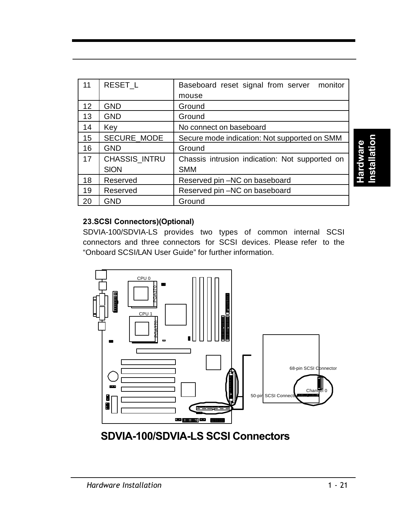| 11 | RESET_L       | Baseboard reset signal from server monitor     |
|----|---------------|------------------------------------------------|
|    |               | mouse                                          |
| 12 | <b>GND</b>    | Ground                                         |
| 13 | GND           | Ground                                         |
| 14 | Key           | No connect on baseboard                        |
| 15 | SECURE_MODE   | Secure mode indication: Not supported on SMM   |
| 16 | <b>GND</b>    | Ground                                         |
| 17 | CHASSIS_INTRU | Chassis intrusion indication: Not supported on |
|    | <b>SION</b>   | <b>SMM</b>                                     |
| 18 | Reserved      | Reserved pin -NC on baseboard                  |
| 19 | Reserved      | Reserved pin-NC on baseboard                   |
| 20 | GND           | Ground                                         |

**Hardware Installation**

#### **23.SCSI Connectors)(Optional)**

SDVIA-100/SDVIA-LS provides two types of common internal SCSI connectors and three connectors for SCSI devices. Please refer to the "Onboard SCSI/LAN User Guide" for further information.



**SDVIA-100/SDVIA-LS SCSI Connectors**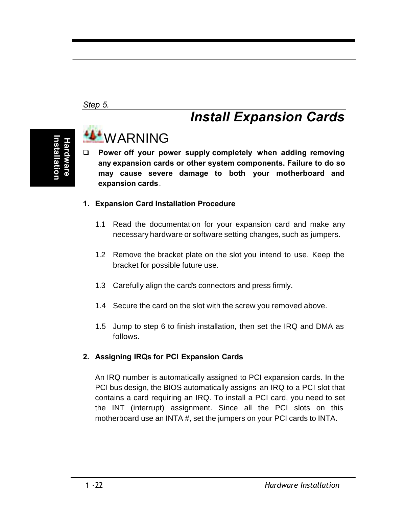#### *Step 5.*

## **Installation Hardware nstallatio**

## **WARNING**

q **Power off your power supply completely when adding removing any expansion cards or other system components. Failure to do so may cause severe damage to both your motherboard and expansion cards**.

*Install Expansion Cards*

#### **1. Expansion Card Installation Procedure**

- 1.1 Read the documentation for your expansion card and make any necessary hardware or software setting changes, such as jumpers.
- 1.2 Remove the bracket plate on the slot you intend to use. Keep the bracket for possible future use.
- 1.3 Carefully align the card's connectors and press firmly.
- 1.4 Secure the card on the slot with the screw you removed above.
- 1.5 Jump to step 6 to finish installation, then set the IRQ and DMA as follows.

#### **2. Assigning IRQs for PCI Expansion Cards**

An IRQ number is automatically assigned to PCI expansion cards. In the PCI bus design, the BIOS automatically assigns an IRQ to a PCI slot that contains a card requiring an IRQ. To install a PCI card, you need to set the INT (interrupt) assignment. Since all the PCI slots on this motherboard use an INTA #, set the jumpers on your PCI cards to INTA.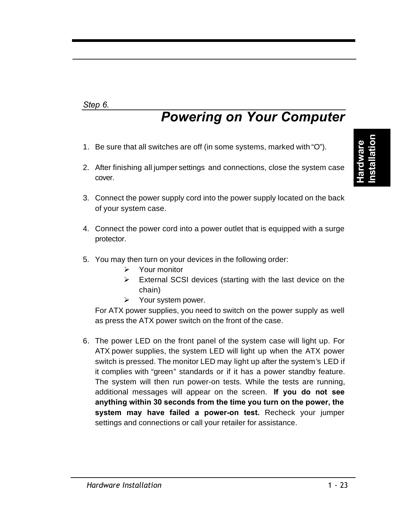#### *Step 6.*

## *Powering on Your Computer*

- 1. Be sure that all switches are off (in some systems, marked with "O").
- 2. After finishing all jumper settings and connections, close the system case cover.
- 3. Connect the power supply cord into the power supply located on the back of your system case.
- 4. Connect the power cord into a power outlet that is equipped with a surge protector.
- 5. You may then turn on your devices in the following order:
	- $\triangleright$  Your monitor
	- $\triangleright$  External SCSI devices (starting with the last device on the chain)
	- $\triangleright$  Your system power.

For ATX power supplies, you need to switch on the power supply as well as press the ATX power switch on the front of the case.

6. The power LED on the front panel of the system case will light up. For ATX power supplies, the system LED will light up when the ATX power switch is pressed. The monitor LED may light up after the system's LED if it complies with "green" standards or if it has a power standby feature. The system will then run power-on tests. While the tests are running, additional messages will appear on the screen. **If you do not see anything within 30 seconds from the time you turn on the power, the system may have failed a power-on test.** Recheck your jumper settings and connections or call your retailer for assistance.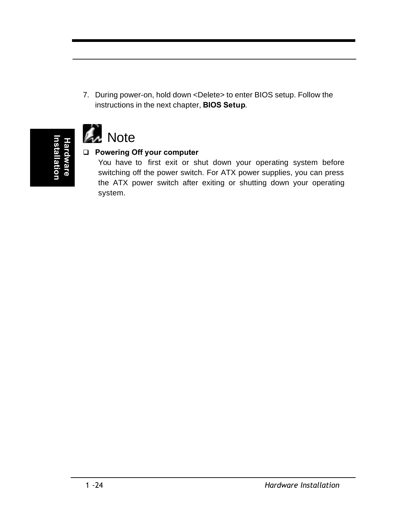7. During power-on, hold down <Delete> to enter BIOS setup. Follow the instructions in the next chapter, **BIOS Setup**.





#### q **Powering Off your computer**

You have to first exit or shut down your operating system before switching off the power switch. For ATX power supplies, you can press the ATX power switch after exiting or shutting down your operating system.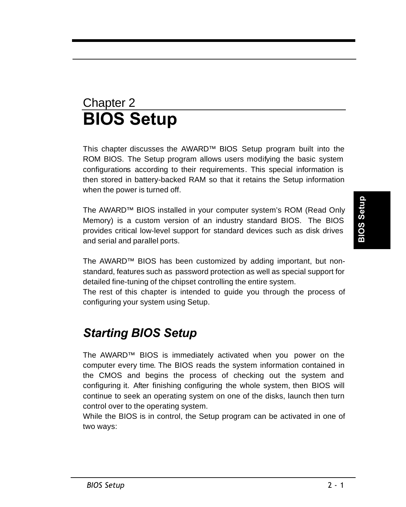## Chapter 2 **BIOS Setup**

This chapter discusses the AWARD™ BIOS Setup program built into the ROM BIOS. The Setup program allows users modifying the basic system configurations according to their requirements. This special information is then stored in battery-backed RAM so that it retains the Setup information when the power is turned off.

The AWARD™ BIOS installed in your computer system's ROM (Read Only Memory) is a custom version of an industry standard BIOS. The BIOS provides critical low-level support for standard devices such as disk drives and serial and parallel ports.

The AWARD™ BIOS has been customized by adding important, but nonstandard, features such as password protection as well as special support for detailed fine-tuning of the chipset controlling the entire system.

The rest of this chapter is intended to guide you through the process of configuring your system using Setup.

## *Starting BIOS Setup*

The AWARD™ BIOS is immediately activated when you power on the computer every time. The BIOS reads the system information contained in the CMOS and begins the process of checking out the system and configuring it. After finishing configuring the whole system, then BIOS will continue to seek an operating system on one of the disks, launch then turn control over to the operating system.

While the BIOS is in control, the Setup program can be activated in one of two ways: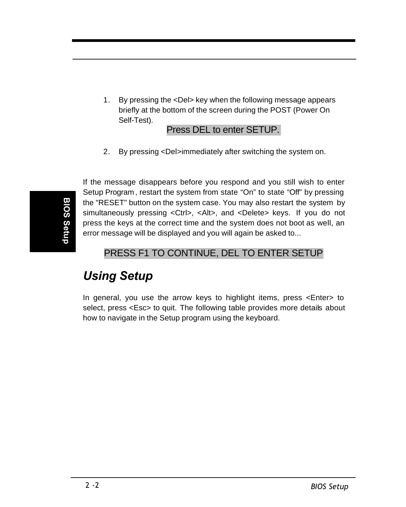1. By pressing the <Del> key when the following message appears briefly at the bottom of the screen during the POST (Power On Self-Test).

#### Press DEL to enter SETUP.

2. By pressing <Del>immediately after switching the system on.

If the message disappears before you respond and you still wish to enter Setup Program , restart the system from state "On" to state "Off" by pressing the "RESET" button on the system case. You may also restart the system by simultaneously pressing <Ctrl>, <Alt>, and <Delete> keys. If you do not press the keys at the correct time and the system does not boot as well, an error message will be displayed and you will again be asked to...

#### PRESS F1 TO CONTINUE, DEL TO ENTER SETUP

## *Using Setup*

In general, you use the arrow keys to highlight items, press <Enter> to select, press <Esc> to quit. The following table provides more details about how to navigate in the Setup program using the keyboard.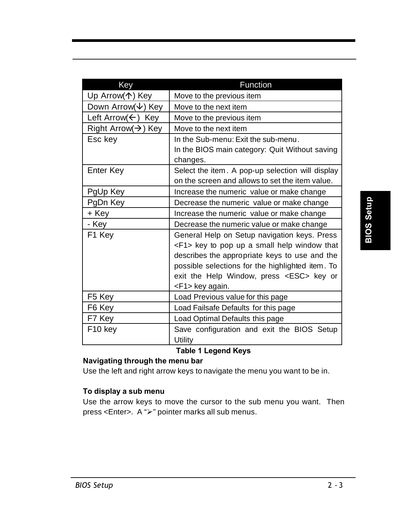| Key                              | Function                                                                                            |  |
|----------------------------------|-----------------------------------------------------------------------------------------------------|--|
| Up Arrow(个) Key                  | Move to the previous item                                                                           |  |
| Down Arrow( $\downarrow$ ) Key   | Move to the next item                                                                               |  |
| Left Arrow( $\leftarrow$ ) Key   | Move to the previous item                                                                           |  |
| Right Arrow( $\rightarrow$ ) Key | Move to the next item                                                                               |  |
| Esc key                          | In the Sub-menu: Exit the sub-menu.                                                                 |  |
|                                  | In the BIOS main category: Quit Without saving<br>changes.                                          |  |
| Enter Key                        | Select the item. A pop-up selection will display<br>on the screen and allows to set the item value. |  |
| PgUp Key                         | Increase the numeric value or make change                                                           |  |
| PgDn Key                         | Decrease the numeric value or make change                                                           |  |
| + Key                            | Increase the numeric value or make change                                                           |  |
| - Key                            | Decrease the numeric value or make change                                                           |  |
| F1 Key                           | General Help on Setup navigation keys. Press<br><f1> key to pop up a small help window that</f1>    |  |
|                                  | describes the appropriate keys to use and the                                                       |  |
|                                  | possible selections for the highlighted item. To                                                    |  |
|                                  | exit the Help Window, press <esc> key or</esc>                                                      |  |
|                                  | <f1> key again.</f1>                                                                                |  |
| F5 Key                           | Load Previous value for this page                                                                   |  |
| F6 Key                           | Load Failsafe Defaults for this page                                                                |  |
| F7 Key                           | Load Optimal Defaults this page                                                                     |  |
| F10 key                          | Save configuration and exit the BIOS Setup<br>Utility                                               |  |

#### **Table 1 Legend Keys**

#### **Navigating through the menu bar**

Use the left and right arrow keys to navigate the menu you want to be in.

#### **To display a sub menu**

Use the arrow keys to move the cursor to the sub menu you want. Then press <Enter>. A ">" pointer marks all sub menus.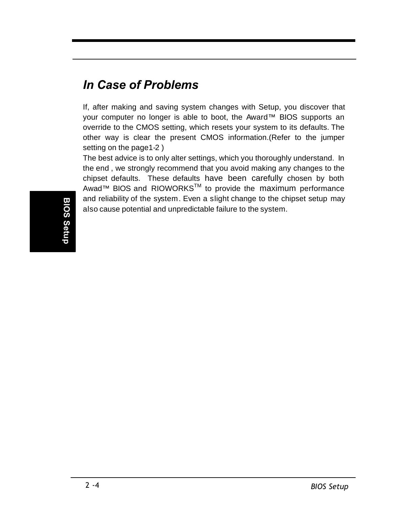## *In Case of Problems*

If, after making and saving system changes with Setup, you discover that your computer no longer is able to boot, the Award™ BIOS supports an override to the CMOS setting, which resets your system to its defaults. The other way is clear the present CMOS information.(Refer to the jumper setting on the page1-2 )

The best advice is to only alter settings, which you thoroughly understand. In the end , we strongly recommend that you avoid making any changes to the chipset defaults. These defaults have been carefully chosen by both Awad™ BIOS and RIOWORKS<sup>™</sup> to provide the maximum performance and reliability of the system. Even a slight change to the chipset setup may also cause potential and unpredictable failure to the system.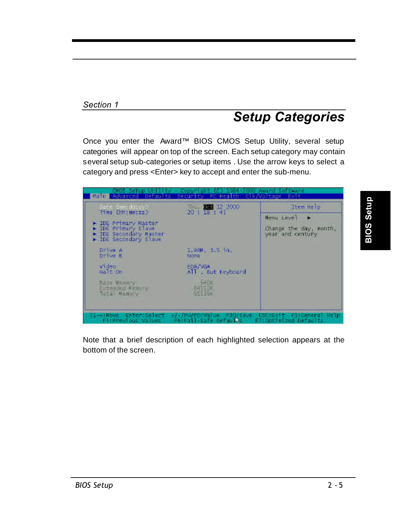#### *Section 1*

## *Setup Categories*

Once you enter the Award™ BIOS CMOS Setup Utility, several setup categories will appear on top of the screen. Each setup category may contain several setup sub-categories or setup items . Use the arrow keys to select a category and press <Enter> key to accept and enter the sub-menu.

| ate omniddio<br>Time (hhimniss)                                                                | 36"   42, 2000                 | Item Help                                                        |
|------------------------------------------------------------------------------------------------|--------------------------------|------------------------------------------------------------------|
| > IDE Primary Master<br>> IDE Primary Slave<br>- IDE Secondary Master<br>F TDE Secondary slave |                                | <b>Henu Level</b><br>Lhange the day, month,<br>wear and century. |
| DI We A<br>DTIVE 8                                                                             | 1:44K, 1:5 In.<br><b>NOTH:</b> |                                                                  |
| video:<br>Halt Un                                                                              | EGA/WiA<br>AH . But heyboard   |                                                                  |
| Base Menacy<br>Esteroid Wester<br>Teta <sup>n Wenter</sup>                                     | GILLE                          |                                                                  |
|                                                                                                |                                |                                                                  |

Note that a brief description of each highlighted selection appears at the bottom of the screen.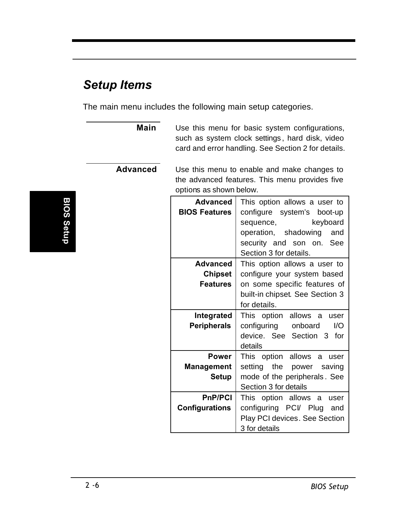## *Setup Items*

The main menu includes the following main setup categories.

**Main** Use this menu for basic system configurations, such as system clock settings , hard disk, video card and error handling. See Section 2 for details.

**Advanced** Use this menu to enable and make changes to the advanced features. This menu provides five options as shown below.

| Advanced<br><b>BIOS Features</b>              | This option allows a user to<br>configure system's boot-up<br>keyboard<br>sequence,<br>operation, shadowing<br>and<br>security and son on. See<br>Section 3 for details. |  |
|-----------------------------------------------|--------------------------------------------------------------------------------------------------------------------------------------------------------------------------|--|
| Advanced<br><b>Chipset</b><br><b>Features</b> | This option allows a user to<br>configure your system based<br>on some specific features of<br>built-in chipset. See Section 3<br>for details.                           |  |
| Integrated<br><b>Peripherals</b>              | This option allows a<br>user<br>configuring onboard<br>I/O<br>device. See Section 3 for<br>details                                                                       |  |
| <b>Power</b><br>Management<br>Setup           | This option allows a user<br>setting the power saving<br>mode of the peripherals. See<br>Section 3 for details                                                           |  |
| <b>PnP/PCI</b><br><b>Configurations</b>       | This option allows a user<br>configuring PCI/ Plug and<br>Play PCI devices. See Section<br>3 for details                                                                 |  |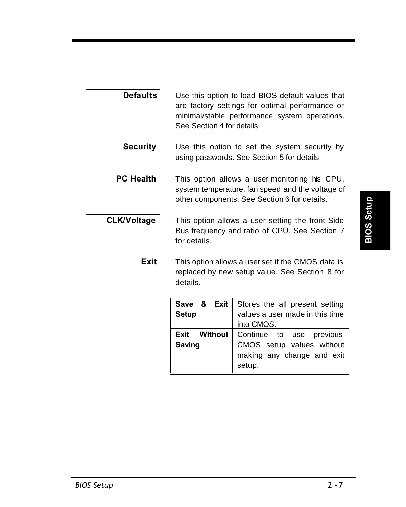| <b>Defaults</b>    | Use this option to load BIOS default values that<br>are factory settings for optimal performance or<br>minimal/stable performance system operations.<br>See Section 4 for details |
|--------------------|-----------------------------------------------------------------------------------------------------------------------------------------------------------------------------------|
| <b>Security</b>    | Use this option to set the system security by<br>using passwords. See Section 5 for details                                                                                       |
| <b>PC Health</b>   | This option allows a user monitoring his CPU,<br>system temperature, fan speed and the voltage of<br>other components. See Section 6 for details.                                 |
| <b>CLK/Voltage</b> | This option allows a user setting the front Side<br>Bus frequency and ratio of CPU. See Section 7<br>for details.                                                                 |

**Exit** This option allows a user set if the CMOS data is replaced by new setup value. See Section 8 for details.

| Save & Exit<br><b>Setup</b>   | Stores the all present setting<br>values a user made in this time<br>into CMOS.               |  |
|-------------------------------|-----------------------------------------------------------------------------------------------|--|
| Exit Without<br><b>Saving</b> | Continue to use previous<br>CMOS setup values without<br>making any change and exit<br>setup. |  |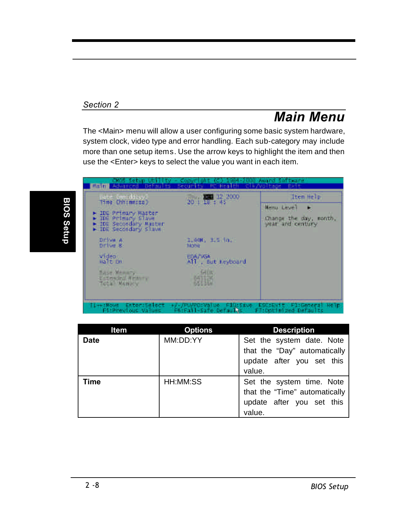#### *Section 2*

## *Main Menu*

The <Main> menu will allow a user configuring some basic system hardware, system clock, video type and error handling. Each sub-category may include more than one setup items. Use the arrow keys to highlight the item and then use the <Enter> keys to select the value you want in each item.



| ltem        | <b>Options</b> | <b>Description</b>            |
|-------------|----------------|-------------------------------|
| <b>Date</b> | MM:DD:YY       | Set the system date. Note     |
|             |                | that the "Day" automatically  |
|             |                | update after you set this     |
|             |                | value.                        |
| <b>Time</b> | HH:MM:SS       | Set the system time. Note     |
|             |                | that the "Time" automatically |
|             |                | update after you set this     |
|             |                | value.                        |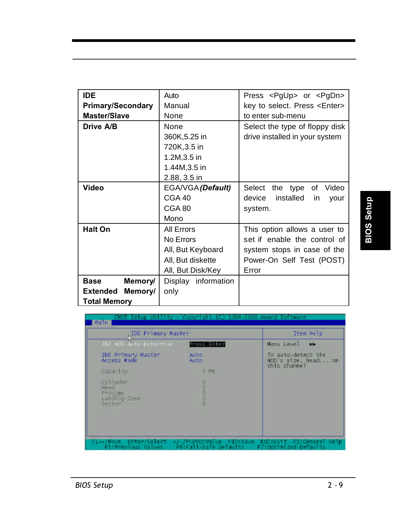| <b>IDE</b>                         | Auto                | Press <pgup> or <pgdn></pgdn></pgup> |  |
|------------------------------------|---------------------|--------------------------------------|--|
|                                    |                     |                                      |  |
| <b>Primary/Secondary</b><br>Manual |                     | key to select. Press <enter></enter> |  |
| Master/Slave                       | None                | to enter sub-menu                    |  |
| Drive A/B                          | None                | Select the type of floppy disk       |  |
|                                    | 360K, 5.25 in       | drive installed in your system       |  |
|                                    | 720K, 3.5 in        |                                      |  |
|                                    | 1.2M, 3.5 in        |                                      |  |
|                                    | 1.44M, 3.5 in       |                                      |  |
|                                    | 2.88, 3.5 in        |                                      |  |
| Video                              | EGA/VGA (Default)   | Select<br>the type<br>Video<br>οf    |  |
|                                    | CGA 40              | device<br>installed<br>your<br>in.   |  |
|                                    | CGA 80              | system.                              |  |
|                                    | Mono                |                                      |  |
| <b>Halt On</b>                     | All Errors          | This option allows a user to         |  |
|                                    | No Errors           | set if enable the control of         |  |
|                                    | All, But Keyboard   | system stops in case of the          |  |
|                                    | All, But diskette   | Power-On Self Test (POST)            |  |
|                                    | All, But Disk/Key   | Error                                |  |
| <b>Base</b><br>Memory/             | Display information |                                      |  |
| <b>Extended</b><br>Memory/         | only                |                                      |  |
| <b>Total Memory</b>                |                     |                                      |  |

| <b>IDE Primary Master</b>                |                      | Item Help                                                 |
|------------------------------------------|----------------------|-----------------------------------------------------------|
| The HOS Astropeinetian                   | <b>Arana Artisti</b> | Henu Level<br>⊷                                           |
| <b>IDE Primary Master</b><br>Access Mode | <b>ALLTO</b><br>Auto | To auto-detect the<br>WCO's size, head on<br>this channel |
| CIUIALTEV.                               | 0.91E                |                                                           |
| CVI HOH                                  | 8                    |                                                           |
| 167311<br><b>Hzcours</b>                 |                      |                                                           |
| Landing <b>Enne</b><br>Seiter C          | $\frac{0}{n}$        |                                                           |
|                                          |                      |                                                           |
|                                          |                      |                                                           |
|                                          |                      |                                                           |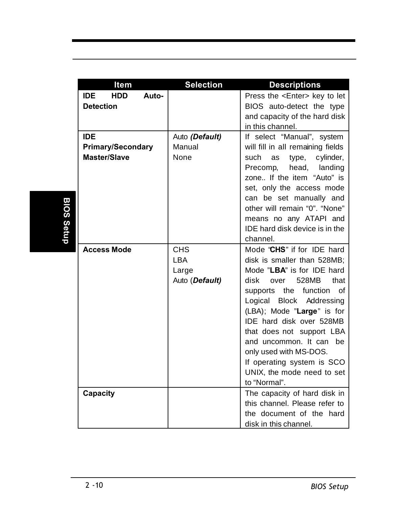|                   | Item                              | <b>Selection</b>        | <b>Descriptions</b>                                         |
|-------------------|-----------------------------------|-------------------------|-------------------------------------------------------------|
|                   | <b>HDD</b><br><b>IDE</b><br>Auto- |                         | Press the <enter> key to let</enter>                        |
|                   | <b>Detection</b>                  |                         | BIOS auto-detect the type                                   |
|                   |                                   |                         | and capacity of the hard disk                               |
|                   |                                   |                         | in this channel.                                            |
|                   | <b>IDE</b>                        | Auto (Default)          | If select "Manual", system                                  |
|                   | <b>Primary/Secondary</b>          | Manual                  | will fill in all remaining fields                           |
|                   | <b>Master/Slave</b>               | None                    | cylinder,<br>such<br>type,<br>as                            |
|                   |                                   |                         | head, landing<br>Precomp,<br>zone If the item "Auto" is     |
|                   |                                   |                         | set, only the access mode                                   |
|                   |                                   |                         | can be set manually and                                     |
|                   |                                   |                         | other will remain "0". "None"                               |
|                   |                                   |                         | means no any ATAPI and                                      |
| <b>BIOS Setup</b> |                                   |                         | IDE hard disk device is in the                              |
|                   |                                   |                         | channel.                                                    |
|                   | <b>Access Mode</b>                | <b>CHS</b>              | Mode "CHS" if for IDE hard                                  |
|                   |                                   | <b>LBA</b>              | disk is smaller than 528MB;                                 |
|                   |                                   | Large<br>Auto (Default) | Mode "LBA" is for IDE hard<br>528MB<br>that<br>disk<br>over |
|                   |                                   |                         | the function<br>οf<br>supports                              |
|                   |                                   |                         | Logical Block Addressing                                    |
|                   |                                   |                         | (LBA); Mode "Large" is for                                  |
|                   |                                   |                         | IDE hard disk over 528MB                                    |
|                   |                                   |                         | that does not support LBA                                   |
|                   |                                   |                         | and uncommon. It can be                                     |
|                   |                                   |                         | only used with MS-DOS.                                      |
|                   |                                   |                         | If operating system is SCO                                  |
|                   |                                   |                         | UNIX, the mode need to set                                  |
|                   |                                   |                         | to "Normal".                                                |
|                   | Capacity                          |                         | The capacity of hard disk in                                |
|                   |                                   |                         | this channel. Please refer to                               |
|                   |                                   |                         | the document of the hard                                    |
|                   |                                   |                         | disk in this channel.                                       |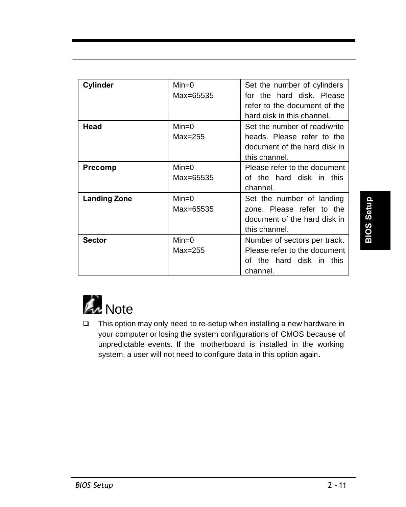| Cylinder            | $Min=0$   | Set the number of cylinders  |
|---------------------|-----------|------------------------------|
|                     | Max=65535 | for the hard disk. Please    |
|                     |           | refer to the document of the |
|                     |           | hard disk in this channel.   |
| Head                | $Min=0$   | Set the number of read/write |
|                     | $Max=255$ | heads. Please refer to the   |
|                     |           | document of the hard disk in |
|                     |           | this channel.                |
| <b>Precomp</b>      | $Min=0$   | Please refer to the document |
|                     | Max=65535 | of the hard disk in this     |
|                     |           | channel.                     |
| <b>Landing Zone</b> | $Min=0$   | Set the number of landing    |
|                     | Max=65535 | zone. Please refer to the    |
|                     |           | document of the hard disk in |
|                     |           | this channel.                |
| <b>Sector</b>       | $Min=0$   | Number of sectors per track. |
|                     | $Max=255$ | Please refer to the document |
|                     |           | of the hard disk in this     |
|                     |           | channel.                     |



□ This option may only need to re-setup when installing a new hardware in your computer or losing the system configurations of CMOS because of unpredictable events. If the motherboard is installed in the working system, a user will not need to configure data in this option again.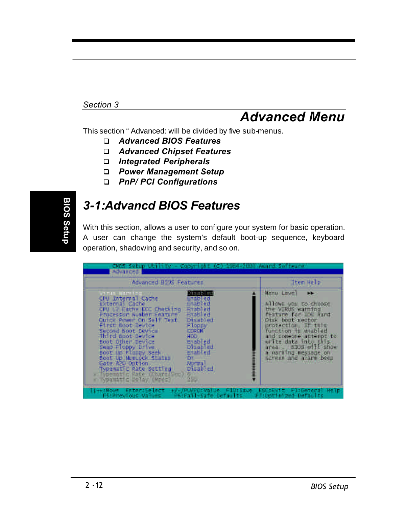#### *Section 3*

## *Advanced Menu*

This section " Advanced: will be divided by five sub-menus.

- q *Advanced BIOS Features*
- q *Advanced Chipset Features*
- q *Integrated Peripherals*
- q *Power Management Setup*
- q *PnP/ PCI Configurations*

# BIOS Setup **BIOS Setup**

## *3-1:Advancd BIOS Features*

With this section, allows a user to configure your system for basic operation. A user can change the system's default boot-up sequence, keyboard operation, shadowing and security, and so on.

| смол ветир од<br><b>Advanced</b>                                                                                                                                                                                                                                                                                                                                                                                                                                                                                                                                                           | <b>Ministra 2011 Factor</b>                                                                                                                                                                                                                                                      |
|--------------------------------------------------------------------------------------------------------------------------------------------------------------------------------------------------------------------------------------------------------------------------------------------------------------------------------------------------------------------------------------------------------------------------------------------------------------------------------------------------------------------------------------------------------------------------------------------|----------------------------------------------------------------------------------------------------------------------------------------------------------------------------------------------------------------------------------------------------------------------------------|
| Advanced BIOS Features                                                                                                                                                                                                                                                                                                                                                                                                                                                                                                                                                                     | Item Help                                                                                                                                                                                                                                                                        |
| изар на<br><b>WILL WEIGHT</b><br>CPU Internal Cagne<br>Enabled<br>External Cache<br>Enabled<br>Enablied<br>CPU L2 Cathe RCC Checking<br>Enabled<br>Processor Number Feature<br>Ouick Power On Self Test<br>Disabled.<br>Floppy<br>First Boot Device<br>Second Boot Device<br><b>EDIRENT</b><br><b>HIGH</b><br>Third Boot Device<br>Enabled<br>Boot Other Device<br><b>Disabled</b><br>Swap Floppy Drive<br>Enabled<br>Boot Le Floppy Seek<br>Broot Up NumLock Status<br>τw<br>Gate A20 Option<br><b>Biorma</b><br>Typematic Rate Setting<br>Disabled<br>( ) Dematic Rate (Carrillow)<br>45 | Henu Level<br><b>NITOWE VON CO/CRODEE</b><br>the VIRUS warning<br>feature for ICE hand<br>Disk boot sector<br>protection I I I<br>function is unabled<br>and consone attempt to<br>write data into this<br>area  6303 will show<br>a worning nessage on<br>street and alarm been |
| Гіннайома Елтегабедест нунулчударылы ғіратқың Босашылт, ғізбелегі нетр<br>F5:Fall-Safe Defaults<br>F51Previous Values                                                                                                                                                                                                                                                                                                                                                                                                                                                                      | FRICKTHING DATAUTIC                                                                                                                                                                                                                                                              |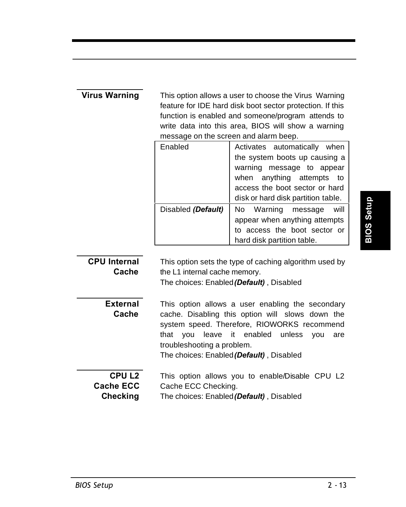| <b>Virus Warning</b> |                                                           | This option allows a user to choose the Virus Warning |
|----------------------|-----------------------------------------------------------|-------------------------------------------------------|
|                      | feature for IDE hard disk boot sector protection. If this |                                                       |
|                      |                                                           | function is enabled and someone/program attends to    |
|                      |                                                           | write data into this area, BIOS will show a warning   |
|                      |                                                           | message on the screen and alarm beep.                 |
|                      | Enabled                                                   | automatically<br>Activates<br>when                    |
|                      |                                                           | the system boots up causing a                         |
|                      |                                                           | warning<br>message to appear                          |
|                      |                                                           | when anything attempts<br>to                          |
|                      |                                                           | access the boot sector or hard                        |
|                      |                                                           | disk or hard disk partition table.                    |
|                      | Disabled (Default)                                        | Warning<br>No.<br>will<br>message                     |
|                      |                                                           | appear when anything attempts                         |
|                      |                                                           | to access the boot sector or                          |
|                      | hard disk partition table.                                |                                                       |
|                      |                                                           |                                                       |
| <b>CPU Internal</b>  | This option sets the type of caching algorithm used by    |                                                       |
| Cache                | the L1 internal cache memory.                             |                                                       |
|                      | The choices: Enabled (Default), Disabled                  |                                                       |
|                      |                                                           |                                                       |
| <b>External</b>      | This option allows a user enabling the secondary          |                                                       |
| Cache                | cache. Disabling this option will slows down the          |                                                       |
|                      | system speed. Therefore, RIOWORKS recommend               |                                                       |
|                      |                                                           |                                                       |
|                      | that<br>leave<br>vou                                      | enabled<br>it<br>unless<br>you<br>are                 |
|                      | troubleshooting a problem.                                |                                                       |
|                      |                                                           | The choices: Enabled (Default), Disabled              |
| CPU L <sub>2</sub>   |                                                           |                                                       |
| <b>Cache ECC</b>     | Cache ECC Checking.                                       | This option allows you to enable/Disable CPU L2       |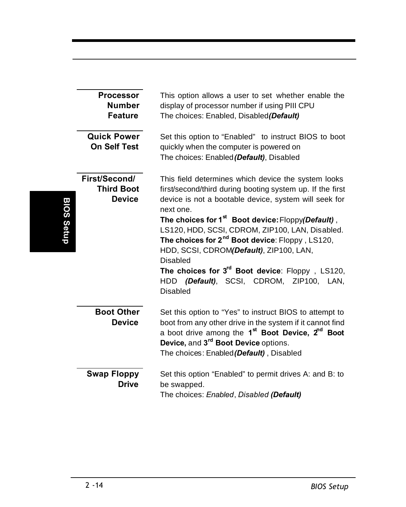|            | <b>Processor</b><br><b>Number</b><br><b>Feature</b><br><b>Quick Power</b><br><b>On Self Test</b> | This option allows a user to set whether enable the<br>display of processor number if using PIII CPU<br>The choices: Enabled, Disabled(Default)<br>Set this option to "Enabled" to instruct BIOS to boot<br>quickly when the computer is powered on<br>The choices: Enabled (Default), Disabled                                                                                                                                                                                                                                                                                                                                                                                                                                                                                                                                                                                                                                                                                   |  |  |
|------------|--------------------------------------------------------------------------------------------------|-----------------------------------------------------------------------------------------------------------------------------------------------------------------------------------------------------------------------------------------------------------------------------------------------------------------------------------------------------------------------------------------------------------------------------------------------------------------------------------------------------------------------------------------------------------------------------------------------------------------------------------------------------------------------------------------------------------------------------------------------------------------------------------------------------------------------------------------------------------------------------------------------------------------------------------------------------------------------------------|--|--|
| BIOS Setup | First/Second/<br><b>Third Boot</b><br><b>Device</b>                                              | This field determines which device the system looks<br>first/second/third during booting system up. If the first<br>device is not a bootable device, system will seek for<br>next one.<br>The choices for 1 <sup>st</sup> Boot device: Floppy(Default),<br>LS120, HDD, SCSI, CDROM, ZIP100, LAN, Disabled.<br>The choices for 2 <sup>nd</sup> Boot device: Floppy, LS120,<br>HDD, SCSI, CDROM(Default), ZIP100, LAN,<br><b>Disabled</b><br>The choices for $3^{rd}$ Boot device: Floppy, LS120,<br>HDD (Default), SCSI, CDROM, ZIP100, LAN,<br>Disabled<br>Set this option to "Yes" to instruct BIOS to attempt to<br>boot from any other drive in the system if it cannot find<br>a boot drive among the 1 <sup>st</sup> Boot Device, 2 <sup>nd</sup> Boot<br>Device, and 3 <sup>rd</sup> Boot Device options.<br>The choices: Enabled (Default), Disabled<br>Set this option "Enabled" to permit drives A: and B: to<br>be swapped.<br>The choices: Enabled, Disabled (Default) |  |  |
|            | <b>Boot Other</b><br><b>Device</b>                                                               |                                                                                                                                                                                                                                                                                                                                                                                                                                                                                                                                                                                                                                                                                                                                                                                                                                                                                                                                                                                   |  |  |
|            | <b>Swap Floppy</b><br><b>Drive</b>                                                               |                                                                                                                                                                                                                                                                                                                                                                                                                                                                                                                                                                                                                                                                                                                                                                                                                                                                                                                                                                                   |  |  |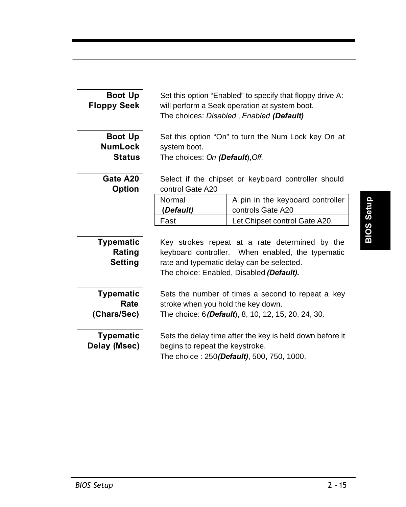| <b>Boot Up</b><br><b>Floppy Seek</b>         | Set this option "Enabled" to specify that floppy drive A:<br>will perform a Seek operation at system boot.<br>The choices: Disabled, Enabled (Default)                                      |  |  |
|----------------------------------------------|---------------------------------------------------------------------------------------------------------------------------------------------------------------------------------------------|--|--|
| Boot Up<br><b>NumLock</b><br><b>Status</b>   | Set this option "On" to turn the Num Lock key On at<br>system boot.<br>The choices: On (Default), Off.                                                                                      |  |  |
| Gate A20<br><b>Option</b>                    | Select if the chipset or keyboard controller should<br>control Gate A20                                                                                                                     |  |  |
|                                              | Normal<br>A pin in the keyboard controller<br>(Default)<br>controls Gate A20                                                                                                                |  |  |
|                                              | Fast<br>Let Chipset control Gate A20.                                                                                                                                                       |  |  |
| <b>Typematic</b><br>Rating<br><b>Setting</b> | Key strokes repeat at a rate determined by the<br>keyboard controller. When enabled, the typematic<br>rate and typematic delay can be selected.<br>The choice: Enabled, Disabled (Default). |  |  |
| <b>Typematic</b><br>Rate<br>(Chars/Sec)      | Sets the number of times a second to repeat a key<br>stroke when you hold the key down.<br>The choice: 6 (Default), 8, 10, 12, 15, 20, 24, 30.                                              |  |  |
| <b>Typematic</b><br>Delay (Msec)             | Sets the delay time after the key is held down before it<br>begins to repeat the keystroke.<br>The choice: 250(Default), 500, 750, 1000.                                                    |  |  |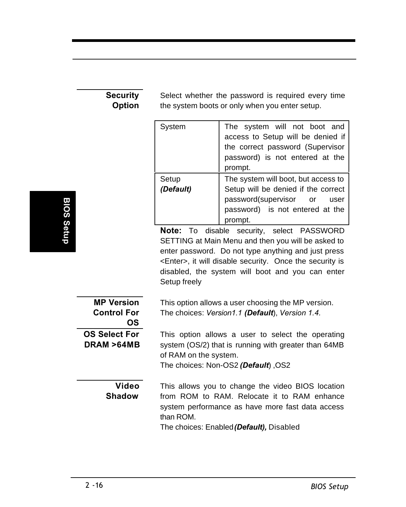#### **Security Option**

Select whether the password is required every time the system boots or only when you enter setup.

| System             | The system will not boot and<br>access to Setup will be denied if<br>the correct password (Supervisor<br>password) is not entered at the<br>prompt.        |  |
|--------------------|------------------------------------------------------------------------------------------------------------------------------------------------------------|--|
| Setup<br>(Default) | The system will boot, but access to<br>Setup will be denied if the correct<br>password(supervisor or<br>user<br>password) is not entered at the<br>prompt. |  |

**Note:** To disable security, select PASSWORD SETTING at Main Menu and then you will be asked to enter password. Do not type anything and just press <Enter>, it will disable security. Once the security is disabled, the system will boot and you can enter Setup freely

| <b>MP Version</b><br><b>Control For</b><br>OS. | This option allows a user choosing the MP version.<br>The choices: Version1.1 (Default), Version 1.4.                                                                                                         |
|------------------------------------------------|---------------------------------------------------------------------------------------------------------------------------------------------------------------------------------------------------------------|
| <b>OS Select For</b><br>DRAM >64MB             | This option allows a user to select the operating<br>system (OS/2) that is running with greater than 64MB<br>of RAM on the system.<br>The choices: Non-OS2 (Default) OS2                                      |
| <b>Video</b><br><b>Shadow</b>                  | This allows you to change the video BIOS location<br>from ROM to RAM. Relocate it to RAM enhance<br>system performance as have more fast data access<br>than ROM.<br>The choices: Enabled (Default), Disabled |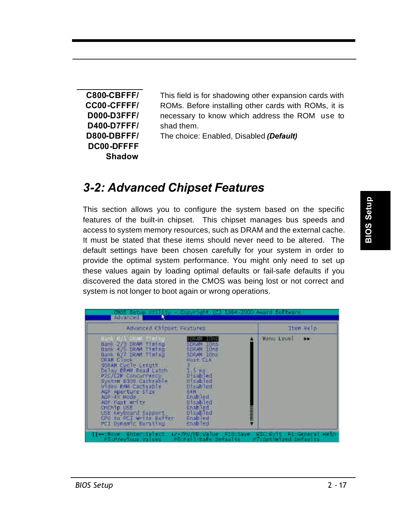**C800-CBFFF/ CC00-CFFFF/ D000-D3FFF/ D400-D7FFF/ D800-DBFFF/ DC00-DFFFF Shadow**

This field is for shadowing other expansion cards with ROMs. Before installing other cards with ROMs, it is necessary to know which address the ROM use to shad them.

The choice: Enabled, Disabled *(Default)*

## *3-2: Advanced Chipset Features*

This section allows you to configure the system based on the specific features of the built-in chipset. This chipset manages bus speeds and access to system memory resources, such as DRAM and the external cache. It must be stated that these items should never need to be altered. The default settings have been chosen carefully for your system in order to provide the optimal system performance. You might only need to set up these values again by loading optimal defaults or fail-safe defaults if you discovered the data stored in the CMOS was being lost or not correct and system is not longer to boot again or wrong operations.

| Advanced Chipset Features                                                                                                                                                                                                                                                                                                                                             |                                                                                                                                                                                                                  |             | Item Help |
|-----------------------------------------------------------------------------------------------------------------------------------------------------------------------------------------------------------------------------------------------------------------------------------------------------------------------------------------------------------------------|------------------------------------------------------------------------------------------------------------------------------------------------------------------------------------------------------------------|-------------|-----------|
| Bank 2/3 DRAW TTRING<br>Bank 4/5 DRAM TENERS<br>Bank 6/7 DRAM TTelson<br><b>URAN Clock</b><br>SORAM CUCTO LENGTH<br>Delay DRAM Read Latch<br>P2C/C7P-Concurrency<br>System B105 Carheable<br>Video FAA Cachesble<br>AGP Aperture Stre<br>$AGP - 4$ Mode<br>AGE: Fast write<br>Chichip USB<br>LISB Keyboard support<br>LPU to PCI write Buffer<br>PCI Dynamic Bursting | <b>BRAN IDRE</b><br>SDRAM 10mb<br><b>50RAN 10NB</b><br>SDRAW 10ts<br>Host CLK<br>生活 ps<br>Disabled<br>Disabled<br><b>Disabled</b><br>64Mill<br>Enabled.<br>Disabled<br>Enabled<br>bisabled<br>Enabled<br>Enabled | Morni Level | m         |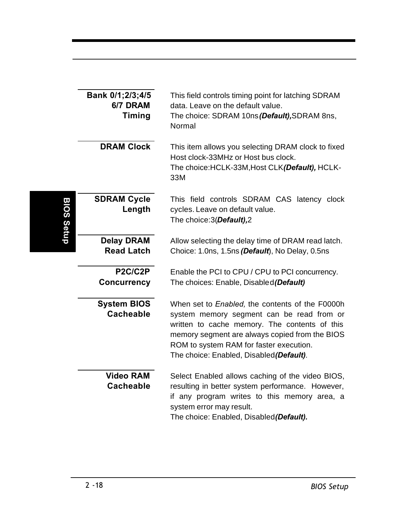|            | Bank 0/1;2/3;4/5<br>6/7 DRAM<br>Timing | This field controls timing point for latching SDRAM<br>data. Leave on the default value.<br>The choice: SDRAM 10ns (Default), SDRAM 8ns,<br>Normal                                                                                                                                     |
|------------|----------------------------------------|----------------------------------------------------------------------------------------------------------------------------------------------------------------------------------------------------------------------------------------------------------------------------------------|
|            | <b>DRAM Clock</b>                      | This item allows you selecting DRAM clock to fixed<br>Host clock-33MHz or Host bus clock.<br>The choice: HCLK-33M, Host CLK(Default), HCLK-<br>33M                                                                                                                                     |
| BIOS Setup | <b>SDRAM Cycle</b><br>Length           | This field controls SDRAM CAS latency clock<br>cycles. Leave on default value.<br>The choice:3(Default),2                                                                                                                                                                              |
|            | <b>Delay DRAM</b><br><b>Read Latch</b> | Allow selecting the delay time of DRAM read latch.<br>Choice: 1.0ns, 1.5ns (Default), No Delay, 0.5ns                                                                                                                                                                                  |
|            | P2C/C2P<br><b>Concurrency</b>          | Enable the PCI to CPU / CPU to PCI concurrency.<br>The choices: Enable, Disabled (Default)                                                                                                                                                                                             |
|            | <b>System BIOS</b><br><b>Cacheable</b> | When set to Enabled, the contents of the F0000h<br>system memory segment can be read from or<br>written to cache memory. The contents of this<br>memory segment are always copied from the BIOS<br>ROM to system RAM for faster execution.<br>The choice: Enabled, Disabled (Default). |
|            | <b>Video RAM</b><br><b>Cacheable</b>   | Select Enabled allows caching of the video BIOS,<br>resulting in better system performance. However,<br>if any program writes to this memory area, a<br>system error may result.<br>The choice: Enabled, Disabled(Default).                                                            |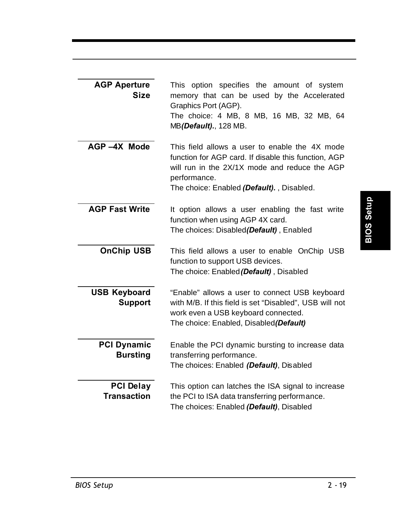| <b>AGP Aperture</b><br><b>Size</b>     | This option specifies the amount of system<br>memory that can be used by the Accelerated<br>Graphics Port (AGP).<br>The choice: 4 MB, 8 MB, 16 MB, 32 MB, 64<br>MB(Default)., 128 MB.                                |
|----------------------------------------|----------------------------------------------------------------------------------------------------------------------------------------------------------------------------------------------------------------------|
| AGP-4X Mode                            | This field allows a user to enable the 4X mode<br>function for AGP card. If disable this function, AGP<br>will run in the 2X/1X mode and reduce the AGP<br>performance.<br>The choice: Enabled (Default)., Disabled. |
| <b>AGP Fast Write</b>                  | It option allows a user enabling the fast write<br>function when using AGP 4X card.<br>The choices: Disabled(Default), Enabled                                                                                       |
| <b>OnChip USB</b>                      | This field allows a user to enable OnChip USB<br>function to support USB devices.<br>The choice: Enabled (Default), Disabled                                                                                         |
| <b>USB Keyboard</b><br><b>Support</b>  | "Enable" allows a user to connect USB keyboard<br>with M/B. If this field is set "Disabled", USB will not<br>work even a USB keyboard connected.<br>The choice: Enabled, Disabled(Default)                           |
| <b>PCI Dynamic</b><br><b>Bursting</b>  | Enable the PCI dynamic bursting to increase data<br>transferring performance.<br>The choices: Enabled (Default), Disabled                                                                                            |
| <b>PCI Delay</b><br><b>Transaction</b> | This option can latches the ISA signal to increase<br>the PCI to ISA data transferring performance.<br>The choices: Enabled (Default), Disabled                                                                      |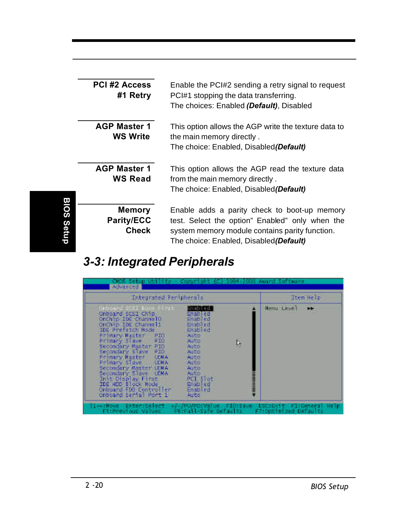|            | <b>PCI #2 Access</b><br>#1 Retry            | Enable the PCI#2 sending a retry signal to request<br>PCI#1 stopping the data transferring.<br>The choices: Enabled (Default), Disabled                                                      |
|------------|---------------------------------------------|----------------------------------------------------------------------------------------------------------------------------------------------------------------------------------------------|
|            | <b>AGP Master 1</b><br><b>WS Write</b>      | This option allows the AGP write the texture data to<br>the main memory directly.<br>The choice: Enabled, Disabled (Default)                                                                 |
|            | <b>AGP Master 1</b><br><b>WS Read</b>       | This option allows the AGP read the texture data<br>from the main memory directly.<br>The choice: Enabled, Disabled(Default)                                                                 |
| BIOS Setup | <b>Memory</b><br><b>Parity/ECC</b><br>Check | Enable adds a parity check to boot-up memory<br>test. Select the option" Enabled" only when the<br>system memory module contains parity function.<br>The choice: Enabled, Disabled (Default) |

## *3-3: Integrated Peripherals*

| смользетир,<br>Advanced                                                                                                                                                                                                                                                                                                                                                                                                                                                                                                                                                                                                                                  | Award Software                                    |
|----------------------------------------------------------------------------------------------------------------------------------------------------------------------------------------------------------------------------------------------------------------------------------------------------------------------------------------------------------------------------------------------------------------------------------------------------------------------------------------------------------------------------------------------------------------------------------------------------------------------------------------------------------|---------------------------------------------------|
| <b>Integrated Peripherals</b>                                                                                                                                                                                                                                                                                                                                                                                                                                                                                                                                                                                                                            | Item Help                                         |
| imab ( ed.)<br><b>FERDINAN SAUTH</b><br><b>CILES</b><br>Onboard SCSI Chip<br>Enabled<br>OnChip IDE ChannelO<br>Enabled<br>OnChip IDE Channell<br>Enablied<br>IDE Prefetch Mode<br>Enabled<br>Primary Master<br>PI <sub>0</sub><br>Auto<br>Primary diave<br>810<br>t,<br><b>AUTO</b><br>Secondary Master PID<br>Auto<br>930<br>Secondary Slave<br>Auto<br>Primary Muster LCMA<br>AUto<br>Primary Maye COMA<br><b>AULO</b><br>Secondary Master UDRA<br>Auto<br>Secondary Stave LCNA<br>Auto<br>PCI: Slot<br>Init Display First<br>IDE HOO Eleck Mode<br><b>Enabled</b><br>Onboard FDD Controller<br>Enabled<br>Onboard Serial Port 1<br>Auto <sup>11</sup> | <b>Henu Level</b><br>⊷                            |
| Ti-komove Enter:Select +/-/PU/POIValue ElSifave.<br><b>F6:Fail-Safe Defaults</b><br>F51Previous Values                                                                                                                                                                                                                                                                                                                                                                                                                                                                                                                                                   | ESCIENTE FIIGENCEAT HOTE<br>FRIDDETHIZED DAFAUTIC |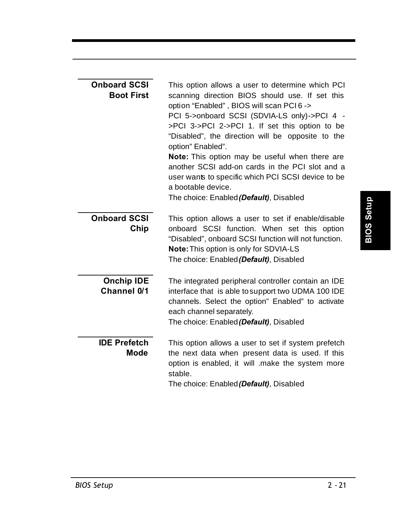| <b>Onboard SCSI</b><br><b>Boot First</b> | This option allows a user to determine which PCI<br>scanning direction BIOS should use. If set this<br>option "Enabled", BIOS will scan PCI 6 -><br>PCI 5->onboard SCSI (SDVIA-LS only)->PCI 4 -<br>>PCI 3->PCI 2->PCI 1. If set this option to be<br>"Disabled", the direction will be opposite to the<br>option" Enabled".<br><b>Note:</b> This option may be useful when there are<br>another SCSI add-on cards in the PCI slot and a<br>user wants to specific which PCI SCSI device to be<br>a bootable device.<br>The choice: Enabled (Default), Disabled |
|------------------------------------------|-----------------------------------------------------------------------------------------------------------------------------------------------------------------------------------------------------------------------------------------------------------------------------------------------------------------------------------------------------------------------------------------------------------------------------------------------------------------------------------------------------------------------------------------------------------------|
| <b>Onboard SCSI</b><br>Chip              | This option allows a user to set if enable/disable<br>onboard SCSI function. When set this option<br>"Disabled", onboard SCSI function will not function.<br><b>Note:</b> This option is only for SDVIA-LS<br>The choice: Enabled (Default), Disabled                                                                                                                                                                                                                                                                                                           |
| <b>Onchip IDE</b><br>Channel 0/1         | The integrated peripheral controller contain an IDE<br>interface that is able to support two UDMA 100 IDE<br>channels. Select the option" Enabled" to activate<br>each channel separately.<br>The choice: Enabled (Default), Disabled                                                                                                                                                                                                                                                                                                                           |
| <b>IDE Prefetch</b><br>Mode              | This option allows a user to set if system prefetch<br>the next data when present data is used. If this<br>option is enabled, it will .make the system more<br>stable.<br>The choice: Enabled (Default), Disabled                                                                                                                                                                                                                                                                                                                                               |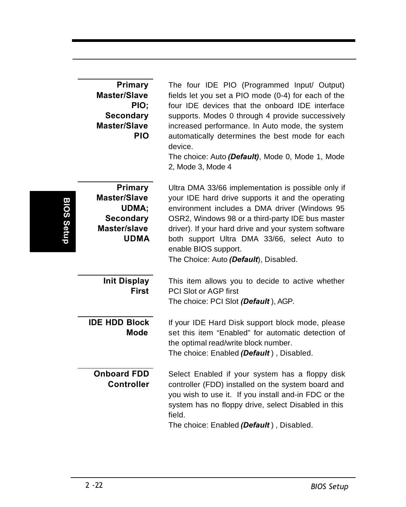|                   | <b>Primary</b><br><b>Master/Slave</b><br>PIO;<br><b>Secondary</b><br><b>Master/Slave</b><br><b>PIO</b> | The four IDE PIO (Programmed Input/ Output)<br>fields let you set a PIO mode (0-4) for each of the<br>four IDE devices that the onboard IDE interface<br>supports. Modes 0 through 4 provide successively<br>increased performance. In Auto mode, the system<br>automatically determines the best mode for each<br>device.<br>The choice: Auto (Default), Mode 0, Mode 1, Mode<br>2, Mode 3, Mode 4 |
|-------------------|--------------------------------------------------------------------------------------------------------|-----------------------------------------------------------------------------------------------------------------------------------------------------------------------------------------------------------------------------------------------------------------------------------------------------------------------------------------------------------------------------------------------------|
| <b>BIOS Setup</b> | Primary<br><b>Master/Slave</b><br>UDMA;<br><b>Secondary</b><br>Master/slave<br><b>UDMA</b>             | Ultra DMA 33/66 implementation is possible only if<br>your IDE hard drive supports it and the operating<br>environment includes a DMA driver (Windows 95<br>OSR2, Windows 98 or a third-party IDE bus master<br>driver). If your hard drive and your system software<br>both support Ultra DMA 33/66, select Auto to<br>enable BIOS support.<br>The Choice: Auto (Default), Disabled.               |
|                   | <b>Init Display</b><br><b>First</b>                                                                    | This item allows you to decide to active whether<br>PCI Slot or AGP first<br>The choice: PCI Slot (Default), AGP.                                                                                                                                                                                                                                                                                   |
|                   | <b>IDE HDD Block</b><br><b>Mode</b>                                                                    | If your IDE Hard Disk support block mode, please<br>set this item "Enabled" for automatic detection of<br>the optimal read/write block number.<br>The choice: Enabled (Default), Disabled.                                                                                                                                                                                                          |
|                   | <b>Onboard FDD</b><br><b>Controller</b>                                                                | Select Enabled if your system has a floppy disk<br>controller (FDD) installed on the system board and<br>you wish to use it. If you install and-in FDC or the<br>system has no floppy drive, select Disabled in this<br>field.<br>The choice: Enabled (Default), Disabled.                                                                                                                          |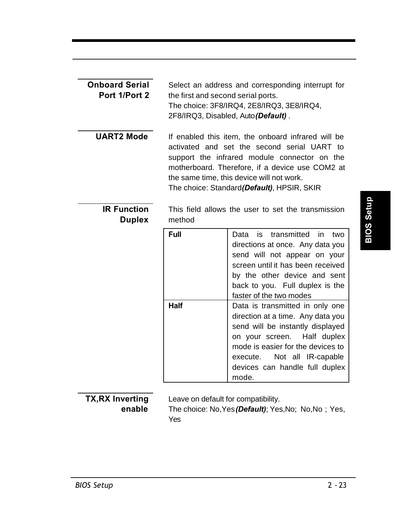| <b>Onboard Serial</b><br>Port 1/Port 2 | Select an address and corresponding interrupt for<br>the first and second serial ports.<br>The choice: 3F8/IRQ4, 2E8/IRQ3, 3E8/IRQ4,<br>2F8/IRQ3, Disabled, Auto (Default).                                                                                                                      |                                                                                                                                                                                                                                               |  |
|----------------------------------------|--------------------------------------------------------------------------------------------------------------------------------------------------------------------------------------------------------------------------------------------------------------------------------------------------|-----------------------------------------------------------------------------------------------------------------------------------------------------------------------------------------------------------------------------------------------|--|
| <b>UART2 Mode</b>                      | If enabled this item, the onboard infrared will be<br>activated and set the second serial UART to<br>support the infrared module connector on the<br>motherboard. Therefore, if a device use COM2 at<br>the same time, this device will not work.<br>The choice: Standard (Default), HPSIR, SKIR |                                                                                                                                                                                                                                               |  |
| <b>IR Function</b><br><b>Duplex</b>    | This field allows the user to set the transmission<br>method                                                                                                                                                                                                                                     |                                                                                                                                                                                                                                               |  |
|                                        | Full                                                                                                                                                                                                                                                                                             | Data<br>is<br>transmitted<br>in<br>two<br>directions at once. Any data you<br>send will not appear on your<br>screen until it has been received<br>by the other device and sent<br>back to you. Full duplex is the<br>faster of the two modes |  |
|                                        | Half<br>Data is transmitted in only one<br>direction at a time. Any data you<br>send will be instantly displayed<br>Half duplex<br>on your screen.<br>mode is easier for the devices to<br>Not all IR-capable<br>execute.<br>devices can handle full duplex<br>mode.                             |                                                                                                                                                                                                                                               |  |

# **BIOS Setup**

**TX,RX Inverting enable**

Leave on default for compatibility.

The choice: No,Yes*(Default)*; Yes,No; No,No ; Yes, Yes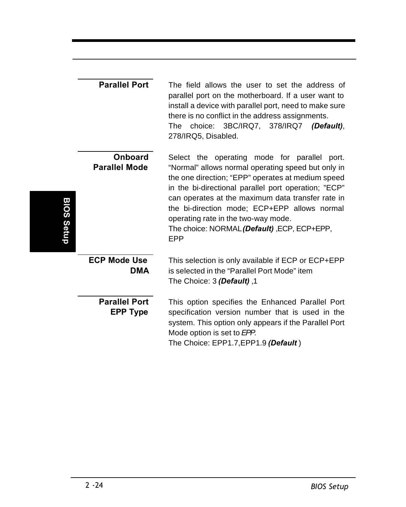|            | <b>Parallel Port</b>                    | The field allows the user to set the address of<br>parallel port on the motherboard. If a user want to<br>install a device with parallel port, need to make sure<br>there is no conflict in the address assignments.<br>choice: 3BC/IRQ7, 378/IRQ7<br>The<br>(Default).<br>278/IRQ5, Disabled.                                                                                                                           |
|------------|-----------------------------------------|--------------------------------------------------------------------------------------------------------------------------------------------------------------------------------------------------------------------------------------------------------------------------------------------------------------------------------------------------------------------------------------------------------------------------|
| BIOS Setup | <b>Onboard</b><br><b>Parallel Mode</b>  | Select the operating mode for parallel port.<br>"Normal" allows normal operating speed but only in<br>the one direction; "EPP" operates at medium speed<br>in the bi-directional parallel port operation; "ECP"<br>can operates at the maximum data transfer rate in<br>the bi-direction mode; ECP+EPP allows normal<br>operating rate in the two-way mode.<br>The choice: NORMAL (Default), ECP, ECP+EPP,<br><b>EPP</b> |
|            | <b>ECP Mode Use</b><br>DMA              | This selection is only available if ECP or ECP+EPP<br>is selected in the "Parallel Port Mode" item<br>1, The Choice: 3 (Default)                                                                                                                                                                                                                                                                                         |
|            | <b>Parallel Port</b><br><b>EPP Type</b> | This option specifies the Enhanced Parallel Port<br>specification version number that is used in the<br>system. This option only appears if the Parallel Port<br>Mode option is set to EPP.<br>The Choice: EPP1.7, EPP1.9 (Default)                                                                                                                                                                                      |

I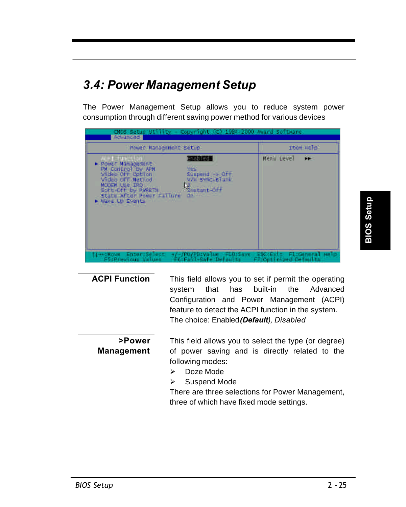## *3.4: Power Management Setup*

The Power Management Setup allows you to reduce system power consumption through different saving power method for various devices

| Rower Management Setup                                                                                                                                                                                                                                                                               | <b>Item Help</b>        |
|------------------------------------------------------------------------------------------------------------------------------------------------------------------------------------------------------------------------------------------------------------------------------------------------------|-------------------------|
| <b>CELEVATION</b><br><b>Enabled</b><br>- Power Management<br>PM CONTROL DV APM<br><b>NES</b><br>Video Off Option<br>Sunpend > Off<br>V/II EVNC+BTank<br>Wideo off Method<br>MODEM LISE IRO<br>SUFFINDER by PWGBTN.<br>Statant-Off<br>State After Power Failure<br><b>ON HELE</b><br>Make the Events' | <b>Menii Level</b><br>m |

|                             | feature to detect the ACPI function in the system.<br>The choice: Enabled (Default), Disabled                              |
|-----------------------------|----------------------------------------------------------------------------------------------------------------------------|
| >Power<br><b>Management</b> | This field allows you to select the type (or degree)<br>of power saving and is directly related to the<br>following modes: |

**ACPI Function** This field allows you to set if permit the operating

- ÿ Doze Mode
- $\triangleright$  Suspend Mode

There are three selections for Power Management, three of which have fixed mode settings.

system that has built-in the Advanced Configuration and Power Management (ACPI)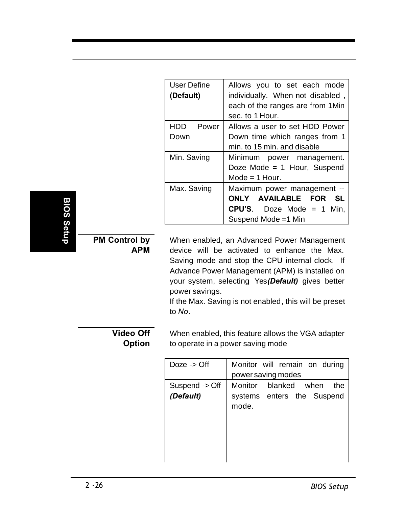| User Define<br>(Default) | Allows you to set each mode<br>individually. When not disabled,<br>each of the ranges are from 1Min<br>sec. to 1 Hour.                        |
|--------------------------|-----------------------------------------------------------------------------------------------------------------------------------------------|
| HDD.<br>Power<br>Down    | Allows a user to set HDD Power<br>Down time which ranges from 1<br>min. to 15 min. and disable                                                |
| Min. Saving              | Minimum power management.<br>Doze Mode = $1$ Hour, Suspend<br>Mode = 1 Hour.                                                                  |
| Max. Saving              | Maximum power management --<br><b>AVAILABLE</b><br><b>ONLY</b><br><b>FOR</b><br>SL<br><b>CPU'S.</b> Doze Mode = 1 Min.<br>Suspend Mode =1 Min |

## **BIOS Setup BIOS Setup**

#### **PM Control by APM**

When enabled, an Advanced Power Management device will be activated to enhance the Max. Saving mode and stop the CPU internal clock. If Advance Power Management (APM) is installed on your system, selecting Yes*(Default)* gives better power savings.

If the Max. Saving is not enabled, this will be preset to *No*.

#### **Video Off Option**

When enabled, this feature allows the VGA adapter to operate in a power saving mode

| Doze $\rightarrow$ Off      | Monitor will remain on during<br>power saving modes                          |
|-----------------------------|------------------------------------------------------------------------------|
| Suspend -> Off<br>(Default) | <b>Monitor</b><br>blanked when<br>the<br>systems enters the Suspend<br>mode. |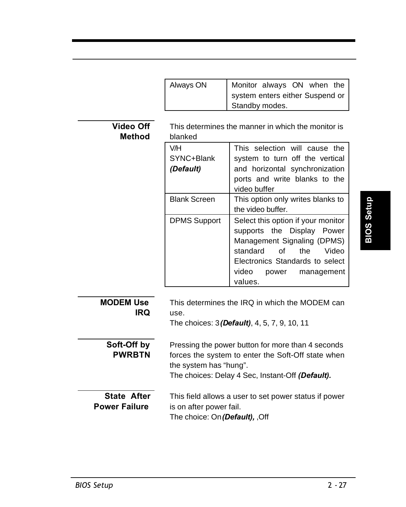| Always ON | Monitor always ON when the      |
|-----------|---------------------------------|
|           | system enters either Suspend or |
|           | Standby modes.                  |

This determines the manner in which the monitor is blanked

| V/H<br>SYNC+Blank<br>(Default) | This selection will cause the<br>system to turn off the vertical<br>and horizontal synchronization<br>ports and write blanks to the<br>video buffer                                                       |
|--------------------------------|-----------------------------------------------------------------------------------------------------------------------------------------------------------------------------------------------------------|
| <b>Blank Screen</b>            | This option only writes blanks to<br>the video buffer.                                                                                                                                                    |
| <b>DPMS Support</b>            | Select this option if your monitor<br>supports the Display Power<br>Management Signaling (DPMS)<br>Video<br>standard of<br>the<br>Electronics Standards to select<br>video<br>power management<br>values. |

| Đ      |  |
|--------|--|
|        |  |
| Ω<br>▼ |  |
|        |  |
|        |  |
|        |  |

| <b>MODEM Use</b><br>IRQ                    | This determines the IRQ in which the MODEM can<br>use.<br>The choices: $3$ (Default), $4, 5, 7, 9, 10, 11$                                                                            |
|--------------------------------------------|---------------------------------------------------------------------------------------------------------------------------------------------------------------------------------------|
| Soft-Off by<br><b>PWRBTN</b>               | Pressing the power button for more than 4 seconds<br>forces the system to enter the Soft-Off state when<br>the system has "hung".<br>The choices: Delay 4 Sec, Instant-Off (Default). |
| <b>State After</b><br><b>Power Failure</b> | This field allows a user to set power status if power<br>is on after power fail.<br>The choice: On (Default), ,Off                                                                    |

**Video Off Method**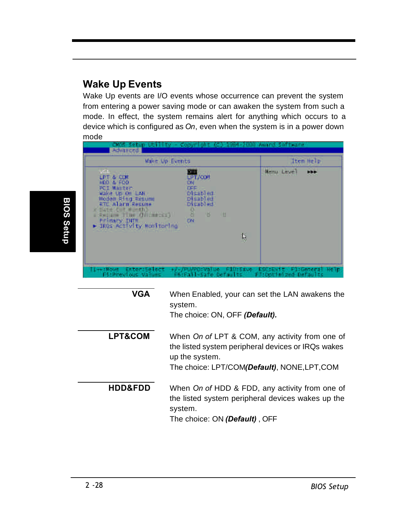#### **Wake Up Events**

Wake Up events are I/O events whose occurrence can prevent the system from entering a power saving mode or can awaken the system from such a mode. In effect, the system remains alert for anything which occurs to a device which is configured as *On*, even when the system is in a power down mode

| Wake Up Events                                                                                                                                                                                                                                                           | Item Help                     |
|--------------------------------------------------------------------------------------------------------------------------------------------------------------------------------------------------------------------------------------------------------------------------|-------------------------------|
| <b>LPT/COM</b><br>LPT & COM<br>HED & FDD<br><b>SEE</b><br><b>PCI Master</b><br><b>Disabled</b><br>Wake Up On LAN<br>Modem Ring Resume<br>RTC Alarm Resume<br>Disabled<br>Disabled<br>Clate C Hartford<br>в<br>и<br><b>DN</b><br>Frimaty INTH<br>IROS Activity Wonftoring | <b>Manu</b> Lave!<br>HH.<br>b |

**VGA** When Enabled*,* your can set the LAN awakens the system. The choice: ON, OFF *(Default).* **LPT&COM** When *On of* LPT & COM, any activity from one of the listed system peripheral devices or IRQs wakes up the system. The choice: LPT/COM*(Default)*, NONE,LPT,COM **HDD&FDD** When *On of* HDD & FDD, any activity from one of the listed system peripheral devices wakes up the system. The choice: ON *(Default)* , OFF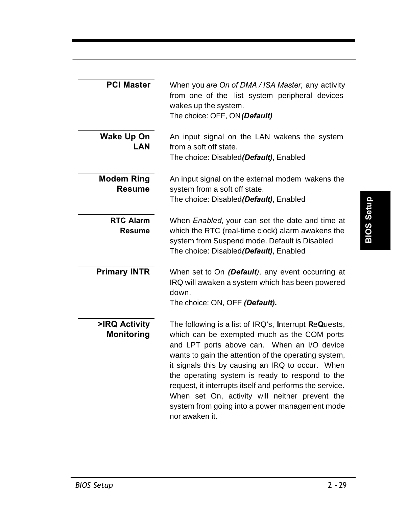| <b>PCI Master</b>                  | When you are On of DMA / ISA Master, any activity<br>from one of the list system peripheral devices<br>wakes up the system.<br>The choice: OFF, ON (Default)                                                                                                                                                                                                                                                                                                                                        |
|------------------------------------|-----------------------------------------------------------------------------------------------------------------------------------------------------------------------------------------------------------------------------------------------------------------------------------------------------------------------------------------------------------------------------------------------------------------------------------------------------------------------------------------------------|
| Wake Up On<br><b>LAN</b>           | An input signal on the LAN wakens the system<br>from a soft off state.<br>The choice: Disabled(Default), Enabled                                                                                                                                                                                                                                                                                                                                                                                    |
| <b>Modem Ring</b><br><b>Resume</b> | An input signal on the external modem wakens the<br>system from a soft off state.<br>The choice: Disabled(Default), Enabled                                                                                                                                                                                                                                                                                                                                                                         |
| <b>RTC Alarm</b><br>Resume         | When Enabled, your can set the date and time at<br>which the RTC (real-time clock) alarm awakens the<br>system from Suspend mode. Default is Disabled<br>The choice: Disabled(Default), Enabled                                                                                                                                                                                                                                                                                                     |
| <b>Primary INTR</b>                | When set to On (Default), any event occurring at<br>IRQ will awaken a system which has been powered<br>down.<br>The choice: ON, OFF (Default).                                                                                                                                                                                                                                                                                                                                                      |
| >IRQ Activity<br><b>Monitoring</b> | The following is a list of IRQ's, Interrupt ReQuests,<br>which can be exempted much as the COM ports<br>and LPT ports above can. When an I/O device<br>wants to gain the attention of the operating system,<br>it signals this by causing an IRQ to occur. When<br>the operating system is ready to respond to the<br>request, it interrupts itself and performs the service.<br>When set On, activity will neither prevent the<br>system from going into a power management mode<br>nor awaken it. |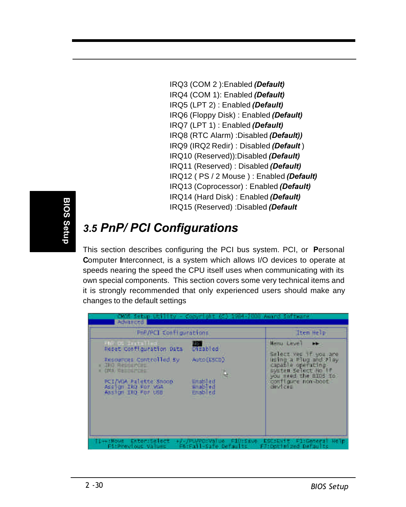IRQ3 (COM 2 ):Enabled *(Default)* IRQ4 (COM 1): Enabled *(Default)* IRQ5 (LPT 2) : Enabled *(Default)* IRQ6 (Floppy Disk) : Enabled *(Default)* IRQ7 (LPT 1) : Enabled *(Default)* IRQ8 (RTC Alarm) :Disabled *(Default))* IRQ9 (IRQ2 Redir) : Disabled *(Default* ) IRQ10 (Reserved)):Disabled *(Default)* IRQ11 (Reserved) : Disabled *(Default)* IRQ12 ( PS / 2 Mouse ) : Enabled *(Default)* IRQ13 (Coprocessor) : Enabled *(Default)* IRQ14 (Hard Disk) : Enabled *(Default)* IRQ15 (Reserved) :Disabled *(Default*

## *3.5 PnP/ PCI Configurations*

This section describes configuring the PCI bus system. PCI, or **P**ersonal **C**omputer **I**nterconnect, is a system which allows I/O devices to operate at speeds nearing the speed the CPU itself uses when communicating with its own special components. This section covers some very technical items and it is strongly recommended that only experienced users should make any changes to the default settings

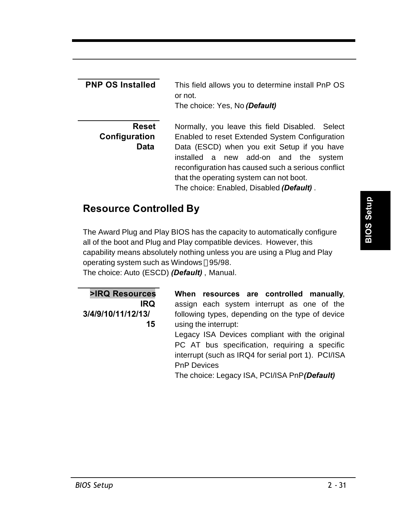| <b>PNP OS Installed</b>               | This field allows you to determine install PnP OS<br>or not.<br>The choice: Yes, No (Default)                                                                                                                                                                                                                                          |  |
|---------------------------------------|----------------------------------------------------------------------------------------------------------------------------------------------------------------------------------------------------------------------------------------------------------------------------------------------------------------------------------------|--|
| Reset<br>Configuration<br><b>Data</b> | Normally, you leave this field Disabled. Select<br>Enabled to reset Extended System Configuration<br>Data (ESCD) when you exit Setup if you have<br>installed a new add-on and the system<br>reconfiguration has caused such a serious conflict<br>that the operating system can not boot.<br>The choice: Enabled, Disabled (Default). |  |

### **Resource Controlled By**

The Award Plug and Play BIOS has the capacity to automatically configure all of the boot and Plug and Play compatible devices. However, this capability means absolutely nothing unless you are using a Plug and Play operating system such as Windows ®95/98.

The choice: Auto (ESCD) *(Default)* , Manual.

| >IRQ Resources     |
|--------------------|
| IRO                |
| 3/4/9/10/11/12/13/ |
| 15                 |

**When resources are controlled manually**, assign each system interrupt as one of the following types, depending on the type of device using the interrupt:

Legacy ISA Devices compliant with the original PC AT bus specification, requiring a specific interrupt (such as IRQ4 for serial port 1). PCI/ISA PnP Devices

The choice: Legacy ISA, PCI/ISA PnP*(Default)*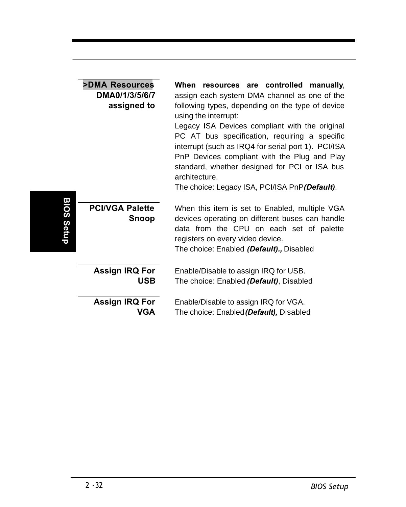|            | <b>&gt;DMA Resources</b><br>DMA0/1/3/5/6/7<br>assigned to | When<br>resources are controlled<br>manually.<br>assign each system DMA channel as one of the<br>following types, depending on the type of device<br>using the interrupt:<br>Legacy ISA Devices compliant with the original<br>PC AT bus specification, requiring a specific<br>interrupt (such as IRQ4 for serial port 1). PCI/ISA<br>PnP Devices compliant with the Plug and Play<br>standard, whether designed for PCI or ISA bus<br>architecture.<br>The choice: Legacy ISA, PCI/ISA PnP(Default). |
|------------|-----------------------------------------------------------|--------------------------------------------------------------------------------------------------------------------------------------------------------------------------------------------------------------------------------------------------------------------------------------------------------------------------------------------------------------------------------------------------------------------------------------------------------------------------------------------------------|
| BIOS Setup | <b>PCI/VGA Palette</b><br>Snoop                           | When this item is set to Enabled, multiple VGA<br>devices operating on different buses can handle<br>data from the CPU on each set of palette<br>registers on every video device.<br>The choice: Enabled (Default)., Disabled                                                                                                                                                                                                                                                                          |
|            | <b>Assign IRQ For</b><br><b>USB</b>                       | Enable/Disable to assign IRQ for USB.<br>The choice: Enabled (Default), Disabled                                                                                                                                                                                                                                                                                                                                                                                                                       |
|            | Assign IRQ For<br>VGA                                     | Enable/Disable to assign IRQ for VGA.<br>The choice: Enabled (Default), Disabled                                                                                                                                                                                                                                                                                                                                                                                                                       |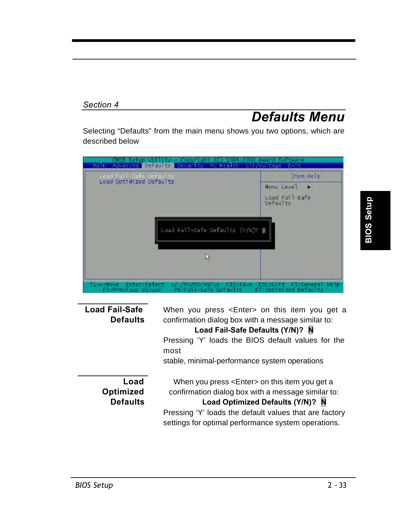#### *Section 4*

## *Defaults Menu*

Selecting "Defaults" from the main menu shows you two options, which are described below

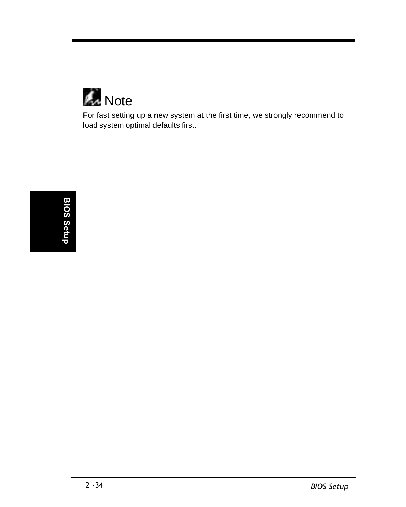

For fast setting up a new system at the first time, we strongly recommend to load system optimal defaults first.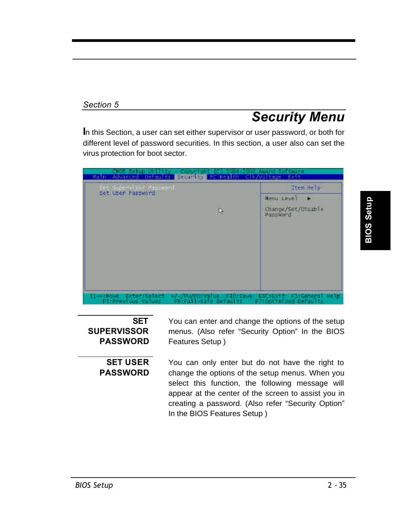# *Security Menu*

**I**n this Section, a user can set either supervisor or user password, or both for different level of password securities. In this section, a user also can set the virus protection for boot sector.

| st Speererson Basilent   |    | Item Help                                            |
|--------------------------|----|------------------------------------------------------|
| <b>Set User Pass-mrd</b> | G) | <b>Many Love</b> )<br>Change/Set/Disable<br>PASSWORD |
|                          |    |                                                      |
|                          |    |                                                      |
|                          |    |                                                      |

#### **SET SUPERVISSOR PASSWORD**

**SET USER PASSWORD**

You can enter and change the options of the setup menus. (Also refer "Security Option" In the BIOS Features Setup )

You can only enter but do not have the right to change the options of the setup menus. When you select this function, the following message will appear at the center of the screen to assist you in creating a password. (Also refer "Security Option" In the BIOS Features Setup )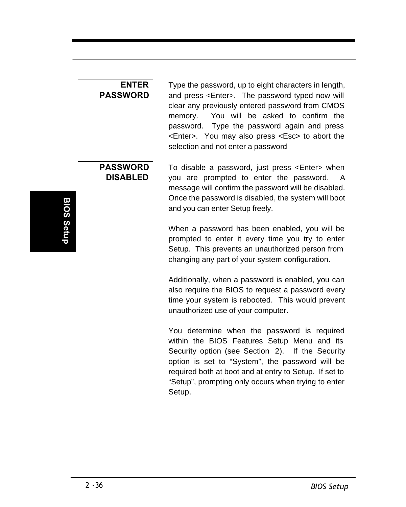#### **ENTER PASSWORD**

Type the password, up to eight characters in length, and press <Enter>. The password typed now will clear any previously entered password from CMOS memory. You will be asked to confirm the password. Type the password again and press <Enter>. You may also press <Esc> to abort the selection and not enter a password

#### **PASSWORD DISABLED**

To disable a password, just press <Enter> when you are prompted to enter the password. A message will confirm the password will be disabled. Once the password is disabled, the system will boot and you can enter Setup freely.

When a password has been enabled, you will be prompted to enter it every time you try to enter Setup. This prevents an unauthorized person from changing any part of your system configuration.

Additionally, when a password is enabled, you can also require the BIOS to request a password every time your system is rebooted. This would prevent unauthorized use of your computer.

You determine when the password is required within the BIOS Features Setup Menu and its Security option (see Section 2). If the Security option is set to "System", the password will be required both at boot and at entry to Setup. If set to "Setup", prompting only occurs when trying to enter Setup.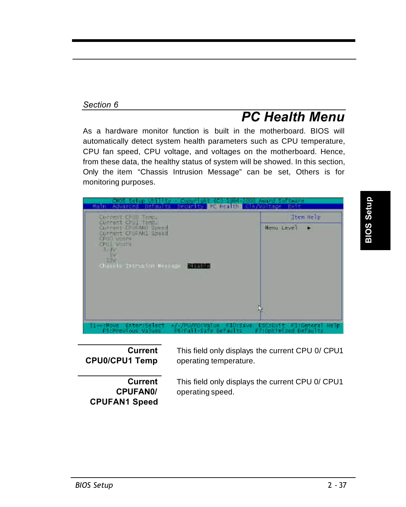# *PC Health Menu*

As a hardware monitor function is built in the motherboard. BIOS will automatically detect system health parameters such as CPU temperature, CPU fan speed, CPU voltage, and voltages on the motherboard. Hence, from these data, the healthy status of system will be showed. In this section, Only the item "Chassis Intrusion Message" can be set, Others is for monitoring purposes.



**Current CPU0/CPU1 Temp**

**Current CPUFAN0/ CPUFAN1 Speed**

This field only displays the current CPU 0/ CPU1 operating temperature.

This field only displays the current CPU 0/ CPU1 operating speed.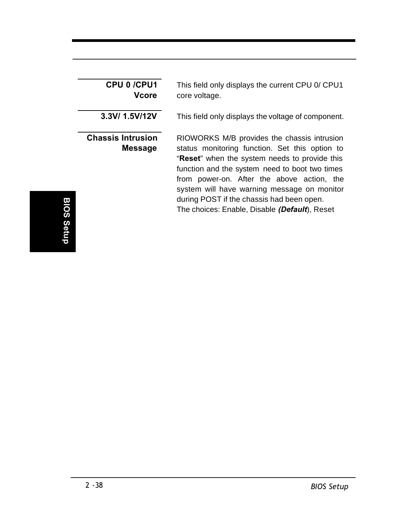| CPU 0 /CPU1<br>Vcore                       | This field only displays the current CPU 0/ CPU1<br>core voltage.                                                                                                                                                                                                                                                                                                                           |
|--------------------------------------------|---------------------------------------------------------------------------------------------------------------------------------------------------------------------------------------------------------------------------------------------------------------------------------------------------------------------------------------------------------------------------------------------|
| 3.3V/ 1.5V/12V                             | This field only displays the voltage of component.                                                                                                                                                                                                                                                                                                                                          |
| <b>Chassis Intrusion</b><br><b>Message</b> | RIOWORKS M/B provides the chassis intrusion<br>status monitoring function. Set this option to<br>"Reset" when the system needs to provide this<br>function and the system need to boot two times<br>from power-on. After the above action, the<br>system will have warning message on monitor<br>during POST if the chassis had been open.<br>The choices: Enable, Disable (Default), Reset |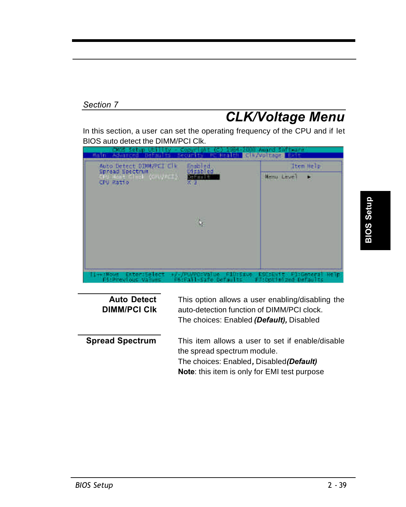# *CLK/Voltage Menu*

In this section, a user can set the operating frequency of the CPU and if let BIOS auto detect the DIMM/PCI Clk.



| <b>Auto Detect</b><br><b>DIMM/PCI CIK</b> | This option allows a user enabling/disabling the<br>auto-detection function of DIMM/PCI clock.<br>The choices: Enabled (Default), Disabled                                         |
|-------------------------------------------|------------------------------------------------------------------------------------------------------------------------------------------------------------------------------------|
| <b>Spread Spectrum</b>                    | This item allows a user to set if enable/disable<br>the spread spectrum module.<br>The choices: Enabled, Disabled (Default)<br><b>Note:</b> this item is only for EMI test purpose |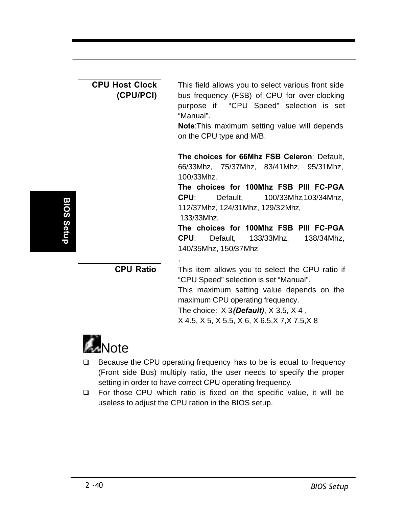|            | <b>CPU Host Clock</b><br>(CPU/PCI) | This field allows you to select various front side<br>bus frequency (FSB) of CPU for over-clocking<br>purpose if "CPU Speed" selection is set<br>"Manual".<br>Note: This maximum setting value will depends<br>on the CPU type and M/B.                                                                                                                        |
|------------|------------------------------------|----------------------------------------------------------------------------------------------------------------------------------------------------------------------------------------------------------------------------------------------------------------------------------------------------------------------------------------------------------------|
| BIOS Setup |                                    | The choices for 66Mhz FSB Celeron: Default,<br>66/33Mhz, 75/37Mhz, 83/41Mhz, 95/31Mhz,<br>100/33Mhz,<br>The choices for 100Mhz FSB PIII FC-PGA<br>CPU:<br>Default,<br>100/33Mhz,103/34Mhz,<br>112/37Mhz, 124/31Mhz, 129/32Mhz,<br>133/33Mhz.<br>The choices for 100Mhz FSB PIII FC-PGA<br>CPU:<br>Default,<br>133/33Mhz,<br>138/34Mhz,<br>140/35Mhz, 150/37Mhz |
|            | <b>CPU Ratio</b>                   | This item allows you to select the CPU ratio if<br>"CPU Speed" selection is set "Manual".<br>This maximum setting value depends on the<br>maximum CPU operating frequency.<br>The choice: $X$ 3 (Default), $X$ 3.5, $X$ 4,<br>X 4.5, X 5, X 5.5, X 6, X 6.5, X 7, X 7.5, X 8                                                                                   |



- □ Because the CPU operating frequency has to be is equal to frequency (Front side Bus) multiply ratio, the user needs to specify the proper setting in order to have correct CPU operating frequency.
- □ For those CPU which ratio is fixed on the specific value, it will be useless to adjust the CPU ration in the BIOS setup.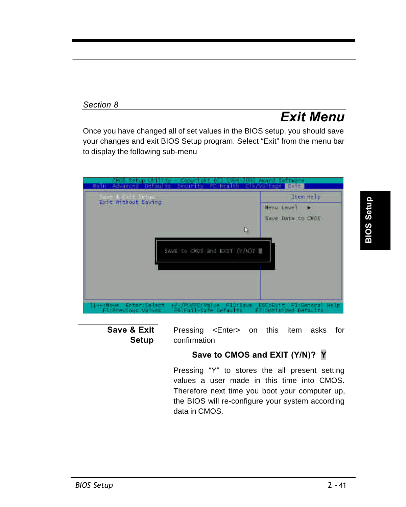# *Exit Menu*

Once you have changed all of set values in the BIOS setup, you should save your changes and exit BIOS Setup program. Select "Exit" from the menu bar to display the following sub-menu





Pressing <Enter> on this item asks for confirmation

#### **Save to CMOS and EXIT (Y/N)? Y**

Pressing "Y" to stores the all present setting values a user made in this time into CMOS. Therefore next time you boot your computer up, the BIOS will re-configure your system according data in CMOS.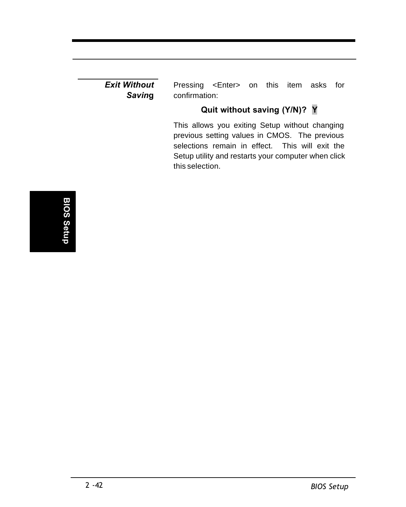*Exit Without Savin***g**

Pressing <Enter> on this item asks for confirmation:

### **Quit without saving (Y/N)? Y**

This allows you exiting Setup without changing previous setting values in CMOS. The previous selections remain in effect. This will exit the Setup utility and restarts your computer when click this selection.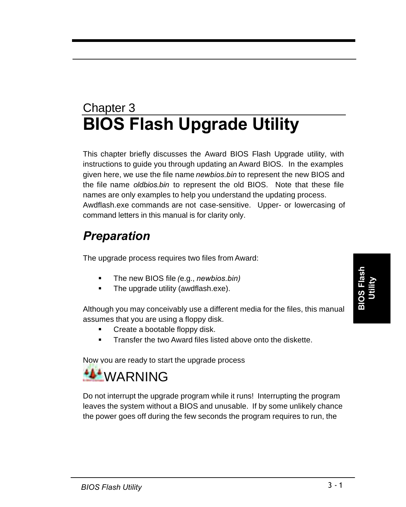# Chapter 3 **BIOS Flash Upgrade Utility**

This chapter briefly discusses the Award BIOS Flash Upgrade utility, with instructions to guide you through updating an Award BIOS. In the examples given here, we use the file name *newbios.bin* to represent the new BIOS and the file name *oldbios.bin* to represent the old BIOS. Note that these file names are only examples to help you understand the updating process. Awdflash.exe commands are not case-sensitive. Upper- or lowercasing of command letters in this manual is for clarity only.

# *Preparation*

The upgrade process requires two files from Award:

- ß The new BIOS file *(*e.g., *newbios.bin)*
- The upgrade utility (awdflash.exe).

Although you may conceivably use a different media for the files, this manual assumes that you are using a floppy disk.

- Create a bootable floppy disk.
- ß Transfer the two Award files listed above onto the diskette.

Now you are ready to start the upgrade process



Do not interrupt the upgrade program while it runs! Interrupting the program leaves the system without a BIOS and unusable. If by some unlikely chance the power goes off during the few seconds the program requires to run, the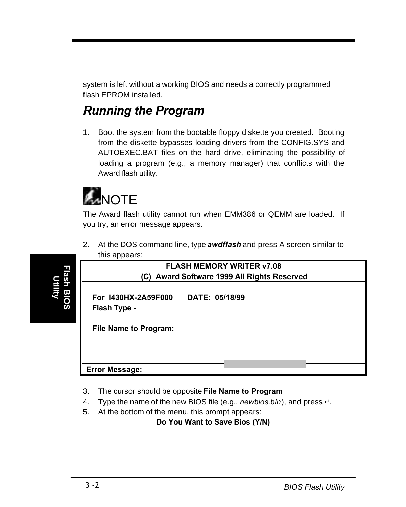system is left without a working BIOS and needs a correctly programmed flash EPROM installed.

# *Running the Program*

1. Boot the system from the bootable floppy diskette you created. Booting from the diskette bypasses loading drivers from the CONFIG.SYS and AUTOEXEC.BAT files on the hard drive, eliminating the possibility of loading a program (e.g., a memory manager) that conflicts with the Award flash utility.



The Award flash utility cannot run when EMM386 or QEMM are loaded. If you try, an error message appears.

2. At the DOS command line, type *awdflash* and press A screen similar to this appears:

| <b>FLASH MEMORY WRITER v7.08</b><br>(C) Award Software 1999 All Rights Reserved |                |  |  |  |  |  |  |
|---------------------------------------------------------------------------------|----------------|--|--|--|--|--|--|
| For 1430HX-2A59F000<br>Flash Type -                                             | DATE: 05/18/99 |  |  |  |  |  |  |
| <b>File Name to Program:</b>                                                    |                |  |  |  |  |  |  |
| <b>Error Message:</b>                                                           |                |  |  |  |  |  |  |

- 3. The cursor should be opposite **File Name to Program**
- 4. Type the name of the new BIOS file (e.g., *newbios.bin*), and press ↵.
- 5. At the bottom of the menu, this prompt appears:

**Do You Want to Save Bios (Y/N)**

**Flash BIOS Utility**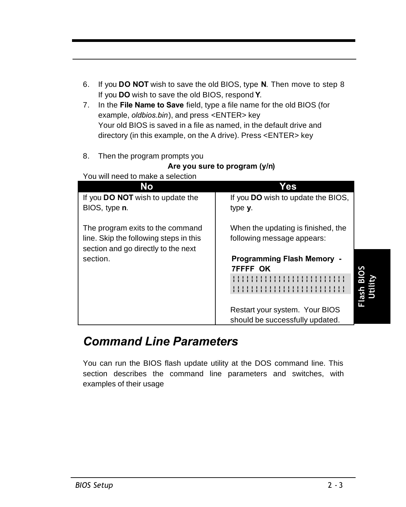- 6. If you **DO NOT** wish to save the old BIOS, type **N**. Then move to step 8 If you **DO** wish to save the old BIOS, respond **Y**.
- 7. In the **File Name to Save** field, type a file name for the old BIOS (for example, *oldbios.bin*), and press <ENTER> key Your old BIOS is saved in a file as named, in the default drive and directory (in this example, on the A drive). Press <ENTER> key
- 8. Then the program prompts you

#### **Are you sure to program (y/n)**

| You will need to make a selection       |                                           |             |
|-----------------------------------------|-------------------------------------------|-------------|
| No                                      | Yes                                       |             |
| If you <b>DO NOT</b> wish to update the | If you <b>DO</b> wish to update the BIOS, |             |
| BIOS, type n.                           | type y.                                   |             |
| The program exits to the command        | When the updating is finished, the        |             |
| line. Skip the following steps in this  | following message appears:                |             |
| section and go directly to the next     |                                           |             |
| section.                                | <b>Programming Flash Memory -</b>         |             |
|                                         | <b>7FFFF OK</b>                           | <b>BIOS</b> |
|                                         |                                           |             |
|                                         |                                           | Flash       |
|                                         |                                           |             |
|                                         | Restart your system. Your BIOS            |             |
|                                         | should be successfully updated.           |             |
|                                         |                                           |             |

#### $V_{\text{out}}$  will need to make

### *Command Line Parameters*

You can run the BIOS flash update utility at the DOS command line. This section describes the command line parameters and switches, with examples of their usage

**Utility**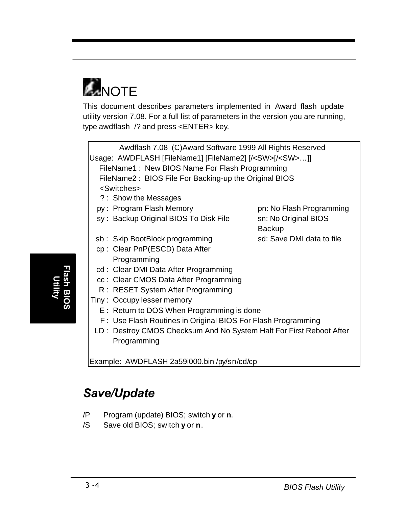

This document describes parameters implemented in Award flash update utility version 7.08. For a full list of parameters in the version you are running, type awdflash /? and press <ENTER> key*.*

Awdflash 7.08 (C)Award Software 1999 All Rights Reserved Usage: AWDFLASH [FileName1] [FileName2] [/<SW>[/<SW>…]] FileName1 : New BIOS Name For Flash Programming FileName2 : BIOS File For Backing-up the Original BIOS <Switches>

- ? : Show the Messages
- py: Program Flash Memory pn: No Flash Programming
- sy: Backup Original BIOS To Disk File sn: No Original BIOS
- sb: Skip BootBlock programming sd: Save DMI data to file
- cp : Clear PnP(ESCD) Data After Programming
- cd : Clear DMI Data After Programming
- cc : Clear CMOS Data After Programming
- R : RESET System After Programming
- Tiny : Occupy lesser memory
	- E : Return to DOS When Programming is done
	- F : Use Flash Routines in Original BIOS For Flash Programming
- LD : Destroy CMOS Checksum And No System Halt For First Reboot After Programming

Example: AWDFLASH 2a59i000.bin /py/sn/cd/cp

# *Save/Update*

- /P Program (update) BIOS; switch **y** or **n**.
- /S Save old BIOS; switch **y** or **n**.

Backup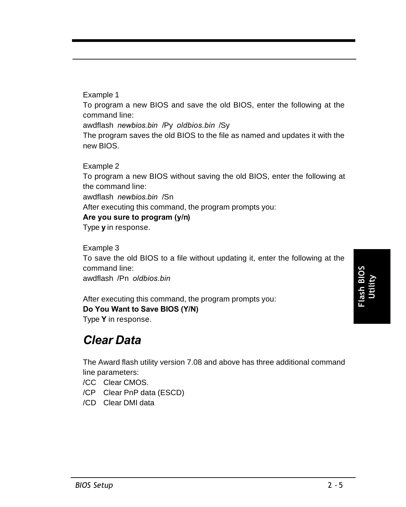#### Example 1

To program a new BIOS and save the old BIOS, enter the following at the command line:

awdflash *newbios.bin* /Py *oldbios.bin* /Sy

The program saves the old BIOS to the file as named and updates it with the new BIOS.

Example 2

To program a new BIOS without saving the old BIOS, enter the following at the command line:

awdflash *newbios.bin* /Sn

After executing this command, the program prompts you:

#### **Are you sure to program (y/n)**

Type **y** in response.

Example 3

To save the old BIOS to a file without updating it, enter the following at the command line:

awdflash /Pn *oldbios.bin*

After executing this command, the program prompts you: **Do You Want to Save BIOS (Y/N)** Type **Y** in response.

### *Clear Data*

The Award flash utility version 7.08 and above has three additional command line parameters:

/CC Clear CMOS.

/CP Clear PnP data (ESCD)

/CD Clear DMI data

**Flash BIOS Utility**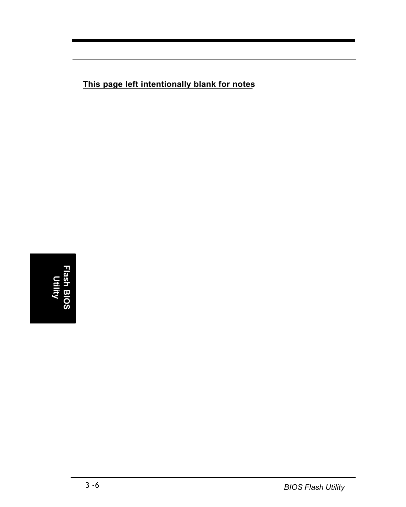**This page left intentionally blank for notes**

**Flash BIOS Utility**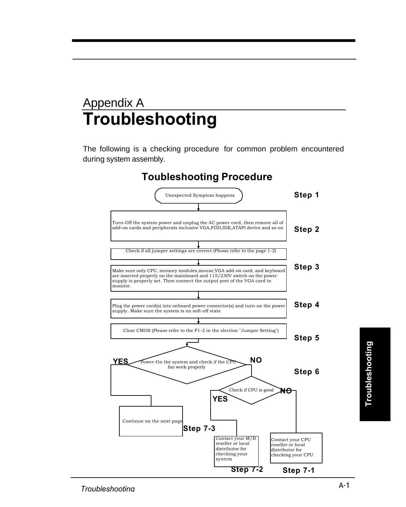# Appendix A **Troubleshooting**

The following is a checking procedure for common problem encountered during system assembly.

### **Toubleshooting Procedure**

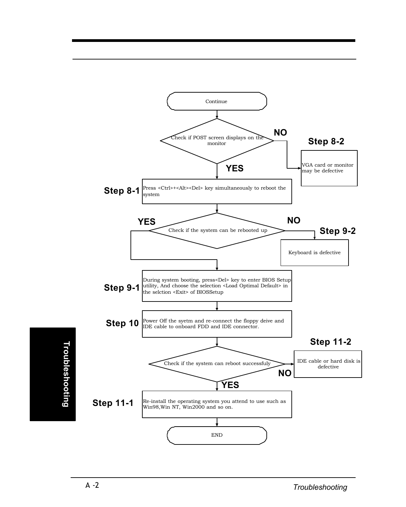

**Troubleshooting Troubleshooting**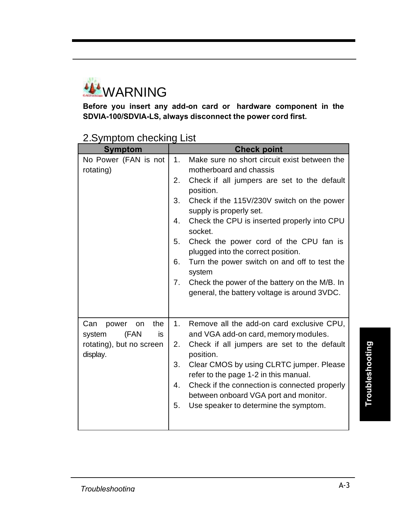

**Before you insert any add-on card or hardware component in the SDVIA-100/SDVIA-LS, always disconnect the power cord first.**

### 2.Symptom checking List

| Symptom                                                                                   | <b>Check point</b>                                                                                                                                                                                                                                                                                                                                                                                                                                                                                                                                          |
|-------------------------------------------------------------------------------------------|-------------------------------------------------------------------------------------------------------------------------------------------------------------------------------------------------------------------------------------------------------------------------------------------------------------------------------------------------------------------------------------------------------------------------------------------------------------------------------------------------------------------------------------------------------------|
| No Power (FAN is not<br>rotating)                                                         | Make sure no short circuit exist between the<br>1.<br>motherboard and chassis<br>2.<br>Check if all jumpers are set to the default<br>position.<br>3.<br>Check if the 115V/230V switch on the power<br>supply is properly set.<br>Check the CPU is inserted properly into CPU<br>4.<br>socket.<br>5.<br>Check the power cord of the CPU fan is<br>plugged into the correct position.<br>Turn the power switch on and off to test the<br>6.<br>system<br>Check the power of the battery on the M/B. In<br>7.<br>general, the battery voltage is around 3VDC. |
| the<br>Can<br>power<br>on<br>(FAN<br>is<br>system<br>rotating), but no screen<br>display. | Remove all the add-on card exclusive CPU,<br>1.<br>and VGA add-on card, memory modules.<br>2.<br>Check if all jumpers are set to the default<br>position.<br>Clear CMOS by using CLRTC jumper. Please<br>3.<br>refer to the page 1-2 in this manual.<br>Check if the connection is connected properly<br>4.<br>between onboard VGA port and monitor.<br>5.<br>Use speaker to determine the symptom.                                                                                                                                                         |

**Troubleshooting Troubleshooting**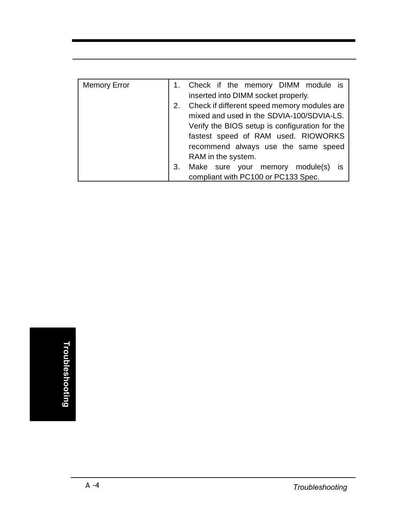| <b>Memory Error</b> |    | 1. Check if the memory DIMM module is          |  |  |  |  |  |  |
|---------------------|----|------------------------------------------------|--|--|--|--|--|--|
|                     |    | inserted into DIMM socket properly.            |  |  |  |  |  |  |
|                     |    | Check if different speed memory modules are    |  |  |  |  |  |  |
|                     |    | mixed and used in the SDVIA-100/SDVIA-LS.      |  |  |  |  |  |  |
|                     |    | Verify the BIOS setup is configuration for the |  |  |  |  |  |  |
|                     |    | fastest speed of RAM used. RIOWORKS            |  |  |  |  |  |  |
|                     |    | recommend always use the same speed            |  |  |  |  |  |  |
|                     |    | RAM in the system.                             |  |  |  |  |  |  |
|                     | З. | Make sure your memory<br>module(s)             |  |  |  |  |  |  |
|                     |    | compliant with PC100 or PC133 Spec.            |  |  |  |  |  |  |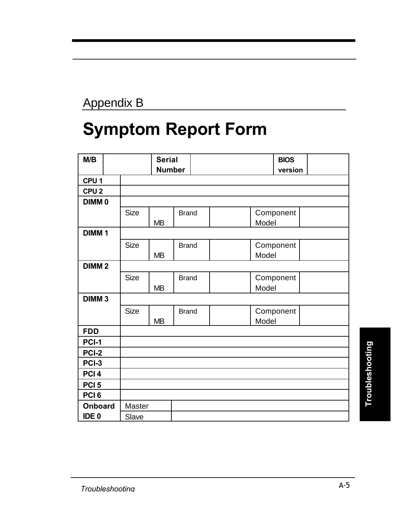# Appendix B

# **Symptom Report Form**

| M/B               |             | <b>Serial</b> |              |  |       | <b>BIOS</b> |  |
|-------------------|-------------|---------------|--------------|--|-------|-------------|--|
|                   |             | <b>Number</b> |              |  |       | version     |  |
| CPU <sub>1</sub>  |             |               |              |  |       |             |  |
| CPU <sub>2</sub>  |             |               |              |  |       |             |  |
| DIMM <sub>0</sub> |             |               |              |  |       |             |  |
|                   | <b>Size</b> |               | <b>Brand</b> |  |       | Component   |  |
|                   |             | <b>MB</b>     |              |  | Model |             |  |
| DIMM <sub>1</sub> |             |               |              |  |       |             |  |
|                   | <b>Size</b> |               | <b>Brand</b> |  |       | Component   |  |
|                   |             | <b>MB</b>     |              |  | Model |             |  |
| DIMM <sub>2</sub> |             |               |              |  |       |             |  |
|                   | Size        |               | <b>Brand</b> |  |       | Component   |  |
|                   |             | MB            |              |  | Model |             |  |
| DIMM <sub>3</sub> |             |               |              |  |       |             |  |
|                   | Size        |               | <b>Brand</b> |  |       | Component   |  |
|                   |             | MB            |              |  | Model |             |  |
| <b>FDD</b>        |             |               |              |  |       |             |  |
| PCI-1             |             |               |              |  |       |             |  |
| PCI-2             |             |               |              |  |       |             |  |
| PCI-3             |             |               |              |  |       |             |  |
| PCI <sub>4</sub>  |             |               |              |  |       |             |  |
| PCI <sub>5</sub>  |             |               |              |  |       |             |  |
| PCI <sub>6</sub>  |             |               |              |  |       |             |  |
| <b>Onboard</b>    | Master      |               |              |  |       |             |  |
| IDE <sub>0</sub>  | Slave       |               |              |  |       |             |  |

Troubleshooting **Troubleshooting**